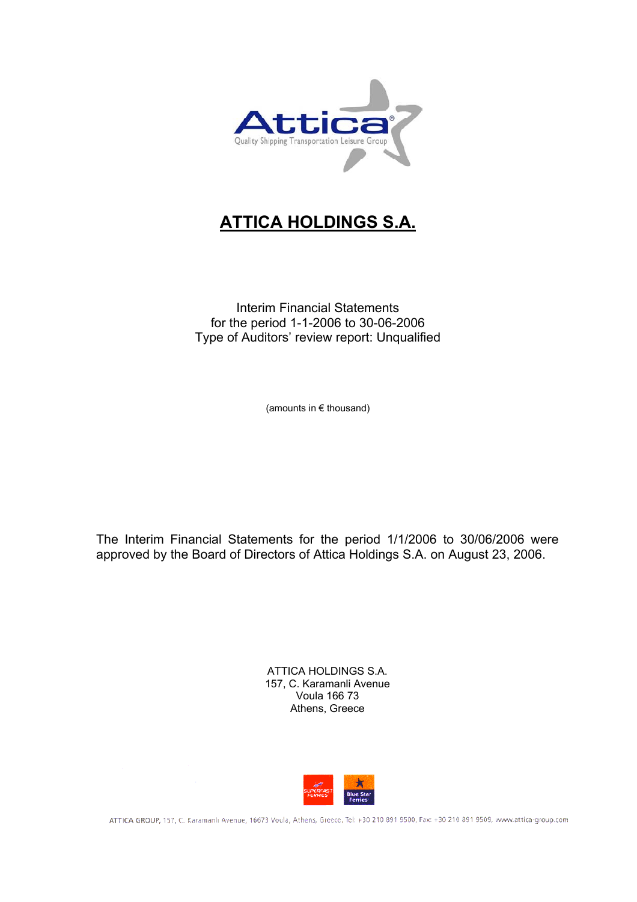

# **ATTICA HOLDINGS S.A.**

Interim Financial Statements for the period 1-1-2006 to 30-06-2006 Type of Auditors' review report: Unqualified

(amounts in € thousand)

The Interim Financial Statements for the period 1/1/2006 to 30/06/2006 were approved by the Board of Directors of Attica Holdings S.A. on August 23, 2006.

> ATTICA HOLDINGS S.A. 157, C. Karamanli Avenue Voula 166 73 Athens, Greece



ATTICA GROUP, 157, C. Karamanlı Avenue, 16673 Voula, Athens, Greece, Tel: +30 210 891 9500, Fax: +30 210 891 9509, www.attica-group.com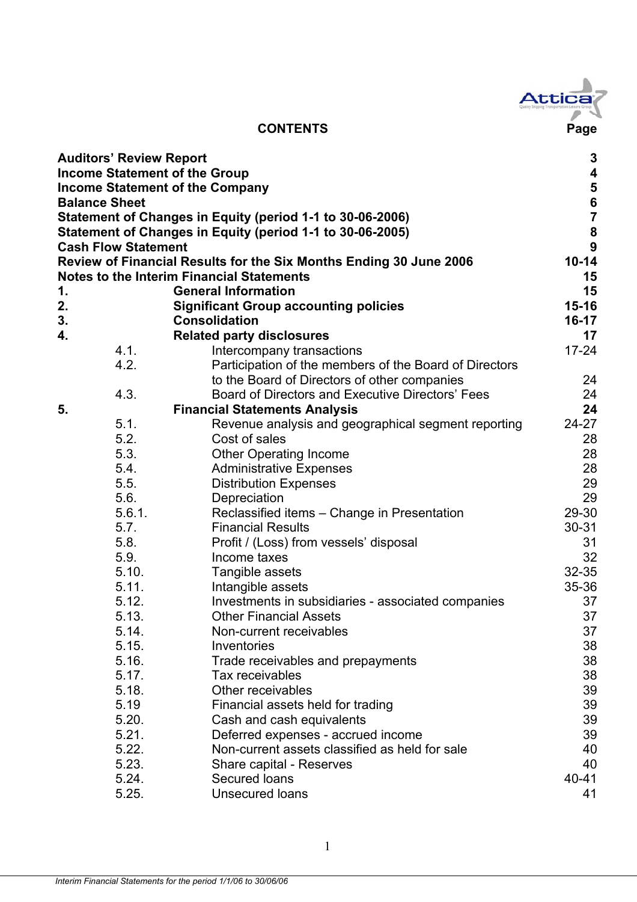

|    | <b>Auditors' Review Report</b> |                                                                    | $\mathbf 3$             |
|----|--------------------------------|--------------------------------------------------------------------|-------------------------|
|    |                                | <b>Income Statement of the Group</b>                               | $\overline{\mathbf{4}}$ |
|    |                                | <b>Income Statement of the Company</b>                             | 5<br>6<br>7             |
|    | <b>Balance Sheet</b>           |                                                                    |                         |
|    |                                | Statement of Changes in Equity (period 1-1 to 30-06-2006)          |                         |
|    |                                | Statement of Changes in Equity (period 1-1 to 30-06-2005)          | ${\bf 8}$               |
|    | <b>Cash Flow Statement</b>     |                                                                    | $\mathbf{9}$            |
|    |                                | Review of Financial Results for the Six Months Ending 30 June 2006 | $10 - 14$               |
|    |                                | <b>Notes to the Interim Financial Statements</b>                   | 15                      |
| 1. |                                | <b>General Information</b>                                         | 15                      |
| 2. |                                | <b>Significant Group accounting policies</b>                       | $15 - 16$               |
| 3. |                                | <b>Consolidation</b>                                               | $16-17$                 |
| 4. |                                | <b>Related party disclosures</b>                                   | 17                      |
|    | 4.1.                           | Intercompany transactions                                          | $17 - 24$               |
|    | 4.2.                           | Participation of the members of the Board of Directors             |                         |
|    |                                | to the Board of Directors of other companies                       | 24                      |
|    | 4.3.                           | Board of Directors and Executive Directors' Fees                   | 24                      |
| 5. |                                | <b>Financial Statements Analysis</b>                               | 24                      |
|    | 5.1.                           | Revenue analysis and geographical segment reporting                | $24 - 27$               |
|    | 5.2.                           | Cost of sales                                                      | 28                      |
|    | 5.3.                           | <b>Other Operating Income</b>                                      | 28                      |
|    | 5.4.                           | <b>Administrative Expenses</b>                                     | 28                      |
|    | 5.5.                           | <b>Distribution Expenses</b>                                       | 29                      |
|    | 5.6.                           | Depreciation                                                       | 29                      |
|    | 5.6.1.                         | Reclassified items - Change in Presentation                        | 29-30                   |
|    | 5.7.                           | <b>Financial Results</b>                                           | $30 - 31$               |
|    | 5.8.                           | Profit / (Loss) from vessels' disposal                             | 31                      |
|    | 5.9.                           | Income taxes                                                       | 32                      |
|    | 5.10.                          | Tangible assets                                                    | $32 - 35$               |
|    | 5.11.                          | Intangible assets                                                  | $35 - 36$               |
|    | 5.12.                          | Investments in subsidiaries - associated companies                 | 37                      |
|    | 5.13.                          | <b>Other Financial Assets</b>                                      | 37                      |
|    | 5.14.                          | Non-current receivables                                            | 37                      |
|    | 5.15.                          | Inventories                                                        | 38                      |
|    | 5.16.                          | Trade receivables and prepayments                                  | 38                      |
|    | 5.17.                          | Tax receivables                                                    | 38                      |
|    | 5.18.                          | Other receivables                                                  | 39                      |
|    | 5.19                           | Financial assets held for trading                                  | 39                      |
|    | 5.20.                          | Cash and cash equivalents                                          | 39                      |
|    | 5.21.                          | Deferred expenses - accrued income                                 | 39                      |
|    | 5.22.                          | Non-current assets classified as held for sale                     | 40                      |
|    | 5.23.                          | Share capital - Reserves                                           | 40                      |
|    | 5.24.                          | Secured Ioans                                                      | 40-41                   |
|    | 5.25.                          | <b>Unsecured loans</b>                                             | 41                      |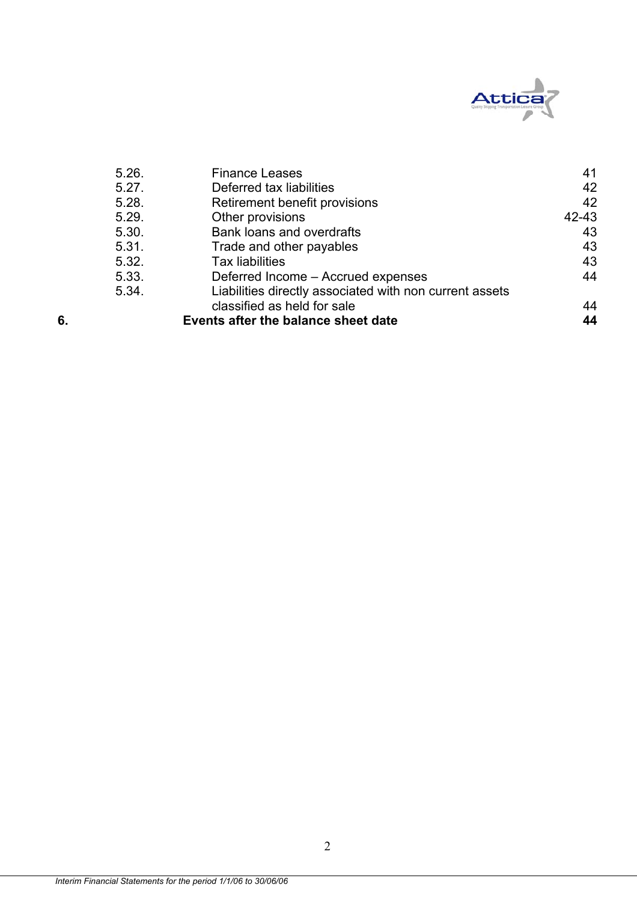

|    | 5.26. | <b>Finance Leases</b>                                   | 41    |
|----|-------|---------------------------------------------------------|-------|
|    | 5.27. | Deferred tax liabilities                                | 42    |
|    | 5.28. | Retirement benefit provisions                           | 42    |
|    | 5.29. | Other provisions                                        | 42-43 |
|    | 5.30. | Bank loans and overdrafts                               | 43    |
|    | 5.31. | Trade and other payables                                | 43    |
|    | 5.32. | <b>Tax liabilities</b>                                  | 43    |
|    | 5.33. | Deferred Income - Accrued expenses                      | 44    |
|    | 5.34. | Liabilities directly associated with non current assets |       |
|    |       | classified as held for sale                             | 44    |
| 6. |       | Events after the balance sheet date                     | 44    |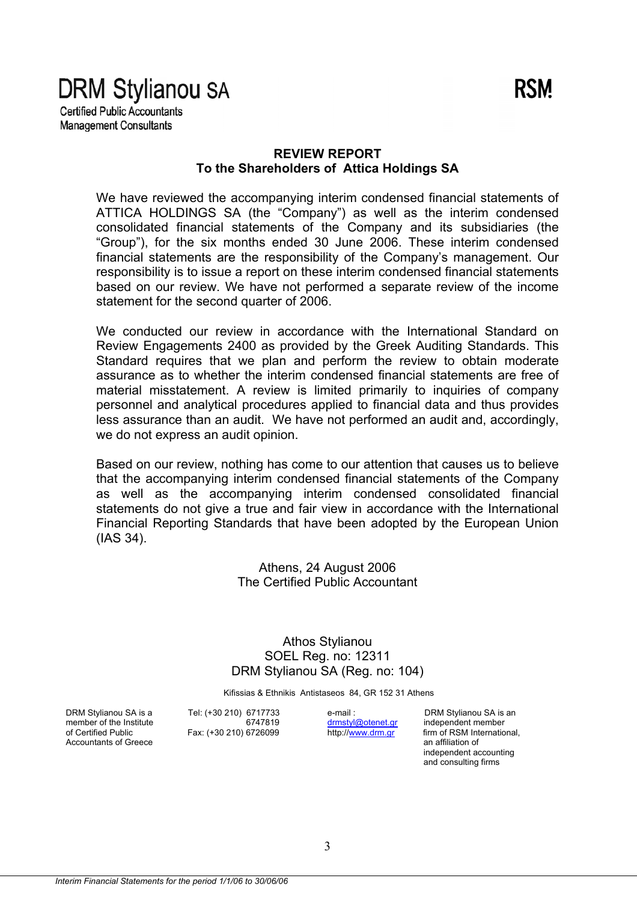# **DRM Stylianou SA**

**Certified Public Accountants Management Consultants** 

### **REVIEW REPORT To the Shareholders of Attica Holdings SA**

We have reviewed the accompanying interim condensed financial statements of ATTICA HOLDINGS SA (the "Company") as well as the interim condensed consolidated financial statements of the Company and its subsidiaries (the "Group"), for the six months ended 30 June 2006. These interim condensed financial statements are the responsibility of the Company's management. Our responsibility is to issue a report on these interim condensed financial statements based on our review. We have not performed a separate review of the income statement for the second quarter of 2006.

We conducted our review in accordance with the International Standard on Review Engagements 2400 as provided by the Greek Auditing Standards. This Standard requires that we plan and perform the review to obtain moderate assurance as to whether the interim condensed financial statements are free of material misstatement. A review is limited primarily to inquiries of company personnel and analytical procedures applied to financial data and thus provides less assurance than an audit. We have not performed an audit and, accordingly, we do not express an audit opinion.

Based on our review, nothing has come to our attention that causes us to believe that the accompanying interim condensed financial statements of the Company as well as the accompanying interim condensed consolidated financial statements do not give a true and fair view in accordance with the International Financial Reporting Standards that have been adopted by the European Union (IAS 34).

> Athens, 24 August 2006 The Certified Public Accountant

Athos Stylianou SOEL Reg. no: 12311 DRM Stylianou SA (Reg. no: 104)

Kifissias & Ethnikis Antistaseos 84, GR 152 31 Athens

Accountants of Greece

DRM Stylianou SA is a Tel: (+30 210) 6717733 e-mail : DRM Stylianou SA is an member of the Institute 6747819 for an and the context of the Institute 6747819 member of the Institute 6747819<br>of Certified Public Fax: (+30 210) 6726099

of Certified Public Fax: (+30 210) 6726099 http://www.drm.gr firm of RSM International,<br>Accountants of Greece an affiliation of independent accounting and consulting firms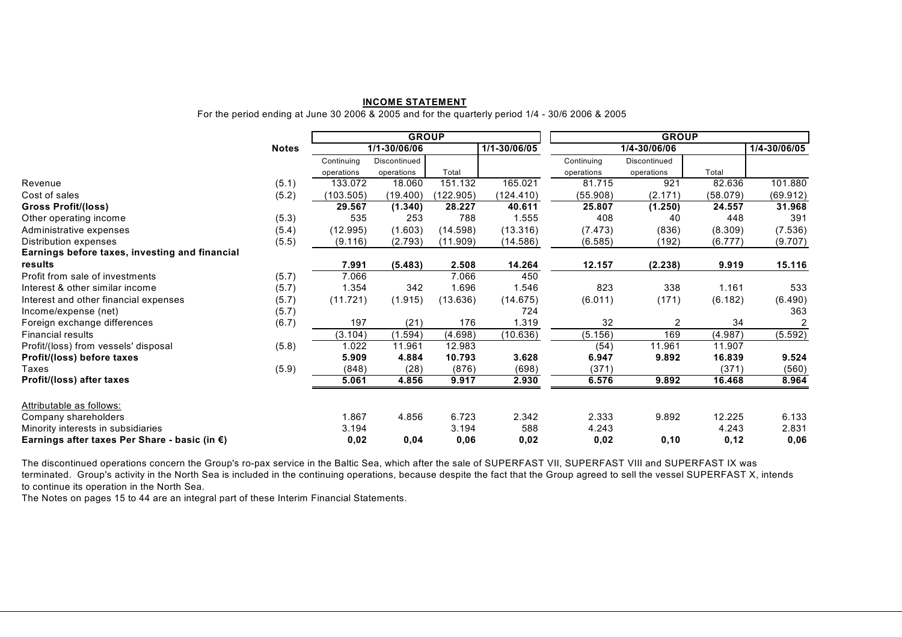#### **INCOME STATEMENT**

For the period ending at June 30 2006 & 2005 and for the quarterly period 1/4 - 30/6 2006 & 2005

|                                                         |              | <b>GROUP</b> |              |           |              |            | <b>GROUP</b> |          |                |  |
|---------------------------------------------------------|--------------|--------------|--------------|-----------|--------------|------------|--------------|----------|----------------|--|
|                                                         | <b>Notes</b> |              | 1/1-30/06/06 |           | 1/1-30/06/05 |            | 1/4-30/06/06 |          | 1/4-30/06/05   |  |
|                                                         |              | Continuing   | Discontinued |           |              | Continuing | Discontinued |          |                |  |
|                                                         |              | operations   | operations   | Total     |              | operations | operations   | Total    |                |  |
| Revenue                                                 | (5.1)        | 133.072      | 18.060       | 151.132   | 165.021      | 81.715     | 921          | 82.636   | 101.880        |  |
| Cost of sales                                           | (5.2)        | (103.505)    | (19.400)     | (122.905) | (124.410)    | (55.908)   | (2.171)      | (58.079) | (69.912)       |  |
| <b>Gross Profit/(loss)</b>                              |              | 29.567       | (1.340)      | 28.227    | 40.611       | 25.807     | (1.250)      | 24.557   | 31.968         |  |
| Other operating income                                  | (5.3)        | 535          | 253          | 788       | 1.555        | 408        | 40           | 448      | 391            |  |
| Administrative expenses                                 | (5.4)        | (12.995)     | (1.603)      | (14.598)  | (13.316)     | (7.473)    | (836)        | (8.309)  | (7.536)        |  |
| Distribution expenses                                   | (5.5)        | (9.116)      | (2.793)      | (11.909)  | (14.586)     | (6.585)    | (192)        | (6.777)  | (9.707)        |  |
| Earnings before taxes, investing and financial          |              |              |              |           |              |            |              |          |                |  |
| results                                                 |              | 7.991        | (5.483)      | 2.508     | 14.264       | 12.157     | (2.238)      | 9.919    | 15.116         |  |
| Profit from sale of investments                         | (5.7)        | 7.066        |              | 7.066     | 450          |            |              |          |                |  |
| Interest & other similar income                         | (5.7)        | 1.354        | 342          | 1.696     | 1.546        | 823        | 338          | 1.161    | 533            |  |
| Interest and other financial expenses                   | (5.7)        | (11.721)     | (1.915)      | (13.636)  | (14.675)     | (6.011)    | (171)        | (6.182)  | (6.490)        |  |
| Income/expense (net)                                    | (5.7)        |              |              |           | 724          |            |              |          | 363            |  |
| Foreign exchange differences                            | (6.7)        | 197          | (21)         | 176       | 1.319        | 32         | 2            | 34       | $\overline{2}$ |  |
| <b>Financial results</b>                                |              | (3.104)      | (1.594)      | (4.698)   | (10.636)     | (5.156)    | 169          | (4.987)  | (5.592)        |  |
| Profit/(loss) from vessels' disposal                    | (5.8)        | 1.022        | 11.961       | 12.983    |              | (54)       | 11.961       | 11.907   |                |  |
| Profit/(loss) before taxes                              |              | 5.909        | 4.884        | 10.793    | 3.628        | 6.947      | 9.892        | 16.839   | 9.524          |  |
| Taxes                                                   | (5.9)        | (848)        | (28)         | (876)     | (698)        | (371)      |              | (371)    | (560)          |  |
| Profit/(loss) after taxes                               |              | 5.061        | 4.856        | 9.917     | 2.930        | 6.576      | 9.892        | 16.468   | 8.964          |  |
| Attributable as follows:                                |              |              |              |           |              |            |              |          |                |  |
| Company shareholders                                    |              | 1.867        | 4.856        | 6.723     | 2.342        | 2.333      | 9.892        | 12.225   | 6.133          |  |
| Minority interests in subsidiaries                      |              | 3.194        |              | 3.194     | 588          | 4.243      |              | 4.243    | 2.831          |  |
| Earnings after taxes Per Share - basic (in $\epsilon$ ) |              | 0,02         | 0,04         | 0,06      | 0,02         | 0,02       | 0, 10        | 0,12     | 0,06           |  |

The discontinued operations concern the Group's ro-pax service in the Baltic Sea, which after the sale of SUPERFAST VII, SUPERFAST VIII and SUPERFAST IX was terminated. Group's activity in the North Sea is included in the continuing operations, because despite the fact that the Group agreed to sell the vessel SUPERFAST X, intends to continue its operation in the North Sea.

The Notes on pages 15 to 44 are an integral part of these Interim Financial Statements.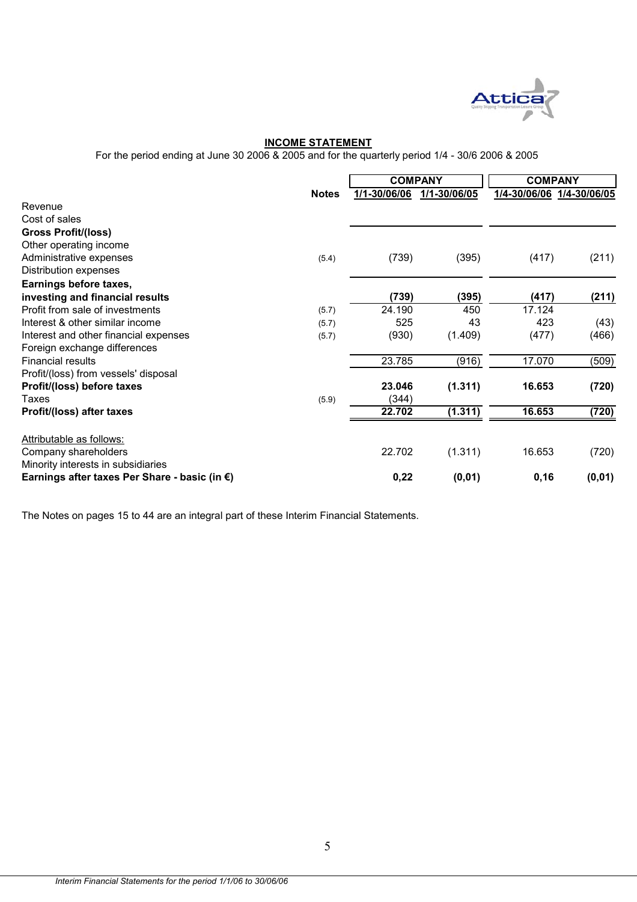

#### **INCOME STATEMENT**

For the period ending at June 30 2006 & 2005 and for the quarterly period 1/4 - 30/6 2006 & 2005

|                                                         |              |              | <b>COMPANY</b> | <b>COMPANY</b> |                           |  |
|---------------------------------------------------------|--------------|--------------|----------------|----------------|---------------------------|--|
|                                                         | <b>Notes</b> | 1/1-30/06/06 | 1/1-30/06/05   |                | 1/4-30/06/06 1/4-30/06/05 |  |
| Revenue                                                 |              |              |                |                |                           |  |
| Cost of sales                                           |              |              |                |                |                           |  |
| <b>Gross Profit/(loss)</b>                              |              |              |                |                |                           |  |
| Other operating income                                  |              |              |                |                |                           |  |
| Administrative expenses                                 | (5.4)        | (739)        | (395)          | (417)          | (211)                     |  |
| Distribution expenses                                   |              |              |                |                |                           |  |
| Earnings before taxes,                                  |              |              |                |                |                           |  |
| investing and financial results                         |              | (739)        | (395)          | (417)          | (211)                     |  |
| Profit from sale of investments                         | (5.7)        | 24.190       | 450            | 17.124         |                           |  |
| Interest & other similar income                         | (5.7)        | 525          | 43             | 423            | (43)                      |  |
| Interest and other financial expenses                   | (5.7)        | (930)        | (1.409)        | (477)          | (466)                     |  |
| Foreign exchange differences                            |              |              |                |                |                           |  |
| <b>Financial results</b>                                |              | 23.785       | (916)          | 17.070         | (509)                     |  |
| Profit/(loss) from vessels' disposal                    |              |              |                |                |                           |  |
| Profit/(loss) before taxes                              |              | 23.046       | (1.311)        | 16.653         | (720)                     |  |
| Taxes                                                   | (5.9)        | (344)        |                |                |                           |  |
| Profit/(loss) after taxes                               |              | 22.702       | (1.311)        | 16.653         | (720)                     |  |
| Attributable as follows:                                |              |              |                |                |                           |  |
| Company shareholders                                    |              | 22.702       | (1.311)        | 16.653         | (720)                     |  |
| Minority interests in subsidiaries                      |              |              |                |                |                           |  |
| Earnings after taxes Per Share - basic (in $\epsilon$ ) |              | 0,22         | (0, 01)        | 0,16           | (0, 01)                   |  |

The Notes on pages 15 to 44 are an integral part of these Interim Financial Statements.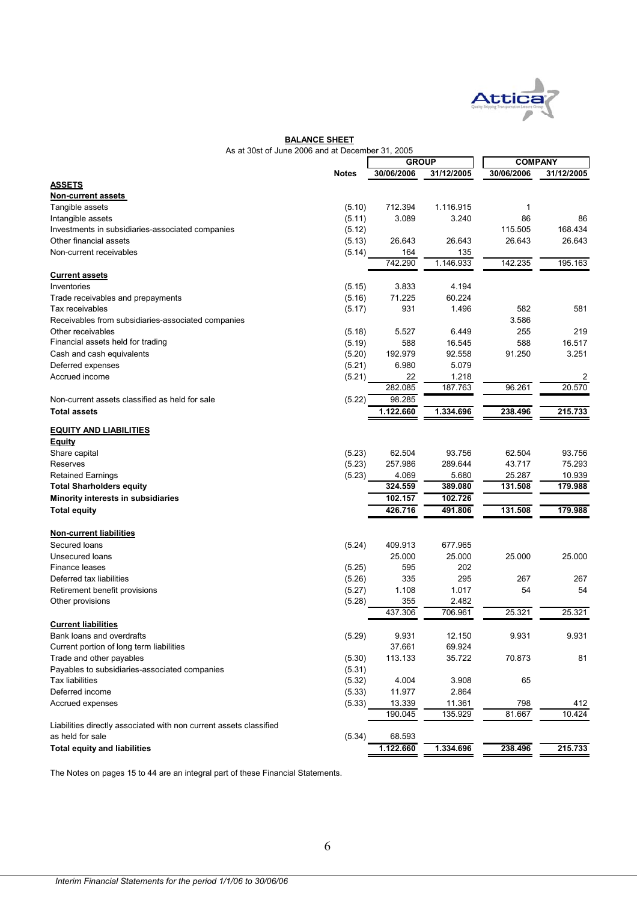

#### **BALANCE SHEET**

| As at 30st of June 2006 and at December 31, 2005 |  |  |  |
|--------------------------------------------------|--|--|--|
|                                                  |  |  |  |

|                                                                    | 2000 and at December 91, 2009 | <b>GROUP</b>   |                  | <b>COMPANY</b> |            |  |
|--------------------------------------------------------------------|-------------------------------|----------------|------------------|----------------|------------|--|
|                                                                    | <b>Notes</b>                  | 30/06/2006     | 31/12/2005       | 30/06/2006     | 31/12/2005 |  |
| <b>ASSETS</b>                                                      |                               |                |                  |                |            |  |
| Non-current assets                                                 |                               |                |                  |                |            |  |
| Tangible assets                                                    | (5.10)                        | 712.394        | 1.116.915        | 1              |            |  |
| Intangible assets                                                  | (5.11)                        | 3.089          | 3.240            | 86             | 86         |  |
| Investments in subsidiaries-associated companies                   | (5.12)                        |                |                  | 115.505        | 168.434    |  |
| Other financial assets                                             | (5.13)                        | 26.643         | 26.643           | 26.643         | 26.643     |  |
| Non-current receivables                                            | (5.14)                        | 164            | 135              |                |            |  |
|                                                                    |                               | 742.290        | 1.146.933        | 142.235        | 195.163    |  |
| <b>Current assets</b>                                              |                               |                |                  |                |            |  |
| Inventories                                                        | (5.15)                        | 3.833          | 4.194            |                |            |  |
| Trade receivables and prepayments                                  | (5.16)                        | 71.225         | 60.224           |                |            |  |
| Tax receivables                                                    | (5.17)                        | 931            | 1.496            | 582            | 581        |  |
|                                                                    |                               |                |                  | 3.586          |            |  |
| Receivables from subsidiaries-associated companies                 |                               |                |                  | 255            |            |  |
| Other receivables                                                  | (5.18)                        | 5.527          | 6.449            |                | 219        |  |
| Financial assets held for trading                                  | (5.19)                        | 588            | 16.545           | 588            | 16.517     |  |
| Cash and cash equivalents                                          | (5.20)                        | 192.979        | 92.558           | 91.250         | 3.251      |  |
| Deferred expenses                                                  | (5.21)                        | 6.980          | 5.079            |                |            |  |
| Accrued income                                                     | (5.21)                        | 22             | 1.218            |                | 2          |  |
|                                                                    |                               | 282.085        | 187.763          | 96.261         | 20.570     |  |
| Non-current assets classified as held for sale                     | (5.22)                        | 98.285         |                  |                |            |  |
| <b>Total assets</b>                                                |                               | 1.122.660      | 1.334.696        | 238.496        | 215.733    |  |
| <b>EQUITY AND LIABILITIES</b>                                      |                               |                |                  |                |            |  |
|                                                                    |                               |                |                  |                |            |  |
| <b>Equity</b>                                                      | (5.23)                        | 62.504         | 93.756           | 62.504         | 93.756     |  |
| Share capital                                                      | (5.23)                        | 257.986        |                  | 43.717         | 75.293     |  |
| Reserves                                                           |                               |                | 289.644          |                |            |  |
| <b>Retained Earnings</b>                                           | (5.23)                        | 4.069          | 5.680            | 25.287         | 10.939     |  |
| <b>Total Sharholders equity</b>                                    |                               | 324.559        | 389.080          | 131.508        | 179.988    |  |
| Minority interests in subsidiaries                                 |                               | 102.157        | 102.726          |                |            |  |
| <b>Total equity</b>                                                |                               | 426.716        | 491.806          | 131.508        | 179.988    |  |
| <b>Non-current liabilities</b>                                     |                               |                |                  |                |            |  |
| Secured loans                                                      | (5.24)                        | 409.913        | 677.965          |                |            |  |
| <b>Unsecured loans</b>                                             |                               | 25.000         | 25.000           | 25.000         | 25.000     |  |
| Finance leases                                                     | (5.25)                        | 595            | 202              |                |            |  |
|                                                                    |                               |                |                  |                |            |  |
| Deferred tax liabilities                                           | (5.26)                        | 335            | 295              | 267            | 267        |  |
| Retirement benefit provisions                                      | (5.27)                        | 1.108          | 1.017            | 54             | 54         |  |
| Other provisions                                                   | (5.28)                        | 355<br>437.306 | 2.482<br>706.961 | 25.321         | 25.321     |  |
|                                                                    |                               |                |                  |                |            |  |
| <b>Current liabilities</b>                                         |                               |                |                  |                |            |  |
| Bank loans and overdrafts                                          | (5.29)                        | 9.931          | 12.150           | 9.931          | 9.931      |  |
| Current portion of long term liabilities                           |                               | 37.661         | 69.924           |                |            |  |
| Trade and other payables                                           | (5.30)                        | 113.133        | 35.722           | 70.873         | 81         |  |
| Payables to subsidiaries-associated companies                      | (5.31)                        |                |                  |                |            |  |
| <b>Tax liabilities</b>                                             | (5.32)                        | 4.004          | 3.908            | 65             |            |  |
| Deferred income                                                    | (5.33)                        | 11.977         | 2.864            |                |            |  |
| Accrued expenses                                                   | (5.33)                        | 13.339         | 11.361           | 798            | 412        |  |
|                                                                    |                               | 190.045        | 135.929          | 81.667         | 10.424     |  |
| Liabilities directly associated with non current assets classified |                               |                |                  |                |            |  |
| as held for sale                                                   | (5.34)                        | 68.593         |                  |                |            |  |
| <b>Total equity and liabilities</b>                                |                               | 1.122.660      | 1.334.696        | 238.496        | 215.733    |  |
|                                                                    |                               |                |                  |                |            |  |

The Notes on pages 15 to 44 are an integral part of these Financial Statements.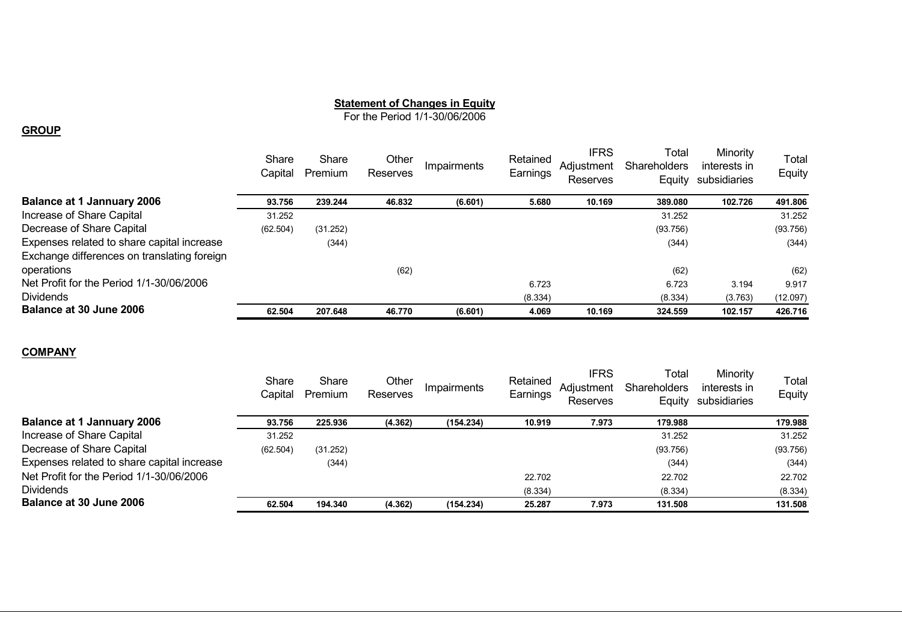#### **Statement of Changes in Equity**

For the Period 1/1-30/06/2006

#### **GROUP**

|                                             | Share<br>Capital | Share<br>Premium | Other<br>Reserves | Impairments | Retained<br>Earnings | <b>IFRS</b><br>Adjustment<br>Reserves | Total<br><b>Shareholders</b><br>Equity | Minority<br>interests in<br>subsidiaries | Total<br>Equity |
|---------------------------------------------|------------------|------------------|-------------------|-------------|----------------------|---------------------------------------|----------------------------------------|------------------------------------------|-----------------|
| <b>Balance at 1 Jannuary 2006</b>           | 93.756           | 239.244          | 46.832            | (6.601)     | 5.680                | 10.169                                | 389.080                                | 102.726                                  | 491.806         |
| Increase of Share Capital                   | 31.252           |                  |                   |             |                      |                                       | 31.252                                 |                                          | 31.252          |
| Decrease of Share Capital                   | (62.504)         | (31.252)         |                   |             |                      |                                       | (93.756)                               |                                          | (93.756)        |
| Expenses related to share capital increase  |                  | (344)            |                   |             |                      |                                       | (344)                                  |                                          | (344)           |
| Exchange differences on translating foreign |                  |                  |                   |             |                      |                                       |                                        |                                          |                 |
| operations                                  |                  |                  | (62)              |             |                      |                                       | (62)                                   |                                          | (62)            |
| Net Profit for the Period 1/1-30/06/2006    |                  |                  |                   |             | 6.723                |                                       | 6.723                                  | 3.194                                    | 9.917           |
| <b>Dividends</b>                            |                  |                  |                   |             | (8.334)              |                                       | (8.334)                                | (3.763)                                  | (12.097)        |
| Balance at 30 June 2006                     | 62.504           | 207.648          | 46.770            | (6.601)     | 4.069                | 10.169                                | 324.559                                | 102.157                                  | 426.716         |

#### **COMPANY**

|                                            | Share<br>Capital | Share<br>Premium | Other<br>Reserves | Impairments | Retained<br>Earnings | <b>IFRS</b><br>Adiustment<br><b>Reserves</b> | Гоtal<br><b>Shareholders</b><br>Equity | Minority<br>interests in<br>subsidiaries | Total<br>Equity |
|--------------------------------------------|------------------|------------------|-------------------|-------------|----------------------|----------------------------------------------|----------------------------------------|------------------------------------------|-----------------|
| <b>Balance at 1 Jannuary 2006</b>          | 93.756           | 225.936          | (4.362)           | (154.234)   | 10.919               | 7.973                                        | 179.988                                |                                          | 179.988         |
| Increase of Share Capital                  | 31.252           |                  |                   |             |                      |                                              | 31.252                                 |                                          | 31.252          |
| Decrease of Share Capital                  | (62.504)         | (31.252)         |                   |             |                      |                                              | (93.756)                               |                                          | (93.756)        |
| Expenses related to share capital increase |                  | (344)            |                   |             |                      |                                              | (344)                                  |                                          | (344)           |
| Net Profit for the Period 1/1-30/06/2006   |                  |                  |                   |             | 22.702               |                                              | 22.702                                 |                                          | 22.702          |
| <b>Dividends</b>                           |                  |                  |                   |             | (8.334)              |                                              | (8.334)                                |                                          | (8.334)         |
| <b>Balance at 30 June 2006</b>             | 62.504           | 194.340          | (4.362)           | (154.234)   | 25.287               | 7.973                                        | 131.508                                |                                          | 131.508         |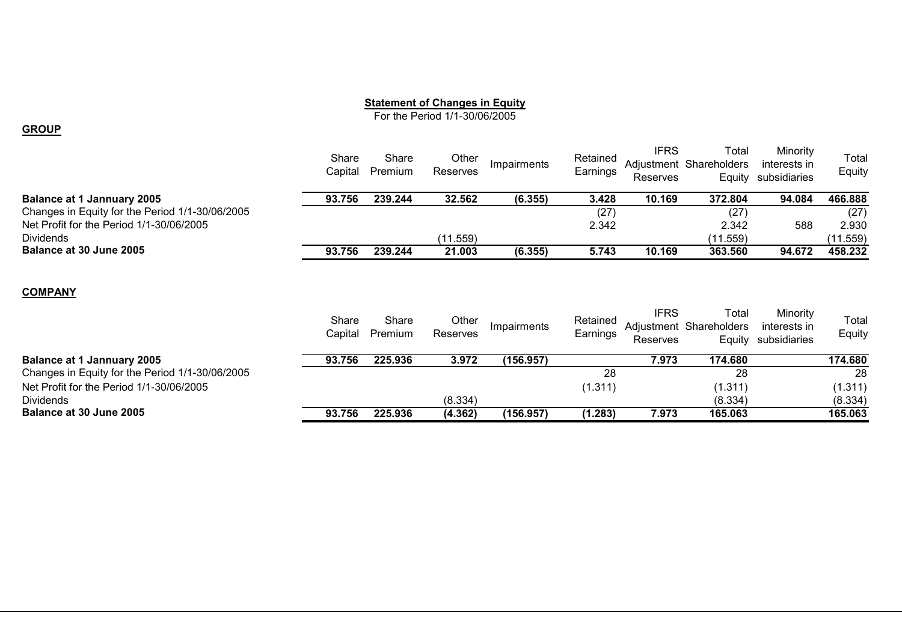#### **Statement of Changes in Equity**

For the Period 1/1-30/06/2005

#### **GROUP**

|                                                 | Share<br>Capital | Share<br>Premium | Other<br>Reserves | Impairments | Retained<br>Earnings | <b>IFRS</b><br>Reserves | Total<br>Adjustment Shareholders<br>Equity | Minority<br>interests in<br>subsidiaries | Total<br>Equity |
|-------------------------------------------------|------------------|------------------|-------------------|-------------|----------------------|-------------------------|--------------------------------------------|------------------------------------------|-----------------|
| <b>Balance at 1 Jannuary 2005</b>               | 93.756           | 239.244          | 32.562            | (6.355)     | 3.428                | 10.169                  | 372.804                                    | 94.084                                   | 466.888         |
| Changes in Equity for the Period 1/1-30/06/2005 |                  |                  |                   |             | (27)                 |                         | (27)                                       |                                          | (27)            |
| Net Profit for the Period 1/1-30/06/2005        |                  |                  |                   |             | 2.342                |                         | 2.342                                      | 588                                      | 2.930           |
| <b>Dividends</b>                                |                  |                  | (11.559)          |             |                      |                         | (11.559)                                   |                                          | (11.559)        |
| Balance at 30 June 2005                         | 93.756           | 239.244          | 21.003            | (6.355)     | 5.743                | 10.169                  | 363.560                                    | 94.672                                   | 458.232         |
| <b>COMPANY</b>                                  |                  |                  |                   |             |                      |                         |                                            |                                          |                 |
|                                                 | Share            | Share            | Other             |             | Retained             | <b>IFRS</b>             | Total                                      | Minority                                 | Total           |
|                                                 | Capital          | Premium          | Reserves          | Impairments | Earnings             |                         | Adjustment Shareholders                    | interests in                             | Equity          |
|                                                 |                  |                  |                   |             |                      | Reserves                | Equity                                     | subsidiaries                             |                 |
| <b>Balance at 1 Jannuary 2005</b>               | 93.756           | 225.936          | 3.972             | (156.957)   |                      | 7.973                   | 174.680                                    |                                          | 174.680         |
| Changes in Equity for the Period 1/1-30/06/2005 |                  |                  |                   |             | 28                   |                         | 28                                         |                                          | 28              |
| Net Profit for the Period 1/1-30/06/2005        |                  |                  |                   |             | (1.311)              |                         | (1.311)                                    |                                          | (1.311)         |

Dividends(8.334) (8.334) (8.334)

**Balance at 30 June 200593.756 225.936 (4.362) (156.957) (1.283) 7.973 165.063 165.063**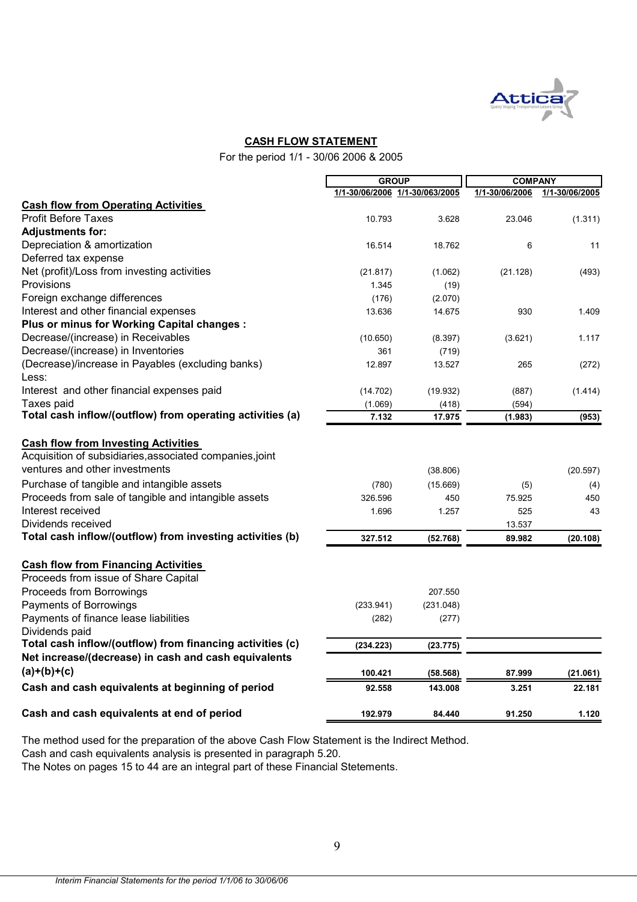

#### **CASH FLOW STATEMENT**

For the period 1/1 - 30/06 2006 & 2005

|                                                                                                                                                                                                     | <b>GROUP</b>              |                                      | <b>COMPANY</b>       |                              |  |
|-----------------------------------------------------------------------------------------------------------------------------------------------------------------------------------------------------|---------------------------|--------------------------------------|----------------------|------------------------------|--|
|                                                                                                                                                                                                     |                           | 1/1-30/06/2006 1/1-30/063/2005       | 1/1-30/06/2006       | 1/1-30/06/2005               |  |
| <b>Cash flow from Operating Activities</b>                                                                                                                                                          |                           |                                      |                      |                              |  |
| <b>Profit Before Taxes</b>                                                                                                                                                                          | 10.793                    | 3.628                                | 23.046               | (1.311)                      |  |
| <b>Adjustments for:</b>                                                                                                                                                                             |                           |                                      |                      |                              |  |
| Depreciation & amortization                                                                                                                                                                         | 16.514                    | 18.762                               | 6                    | 11                           |  |
| Deferred tax expense                                                                                                                                                                                |                           |                                      |                      |                              |  |
| Net (profit)/Loss from investing activities                                                                                                                                                         | (21.817)                  | (1.062)                              | (21.128)             | (493)                        |  |
| Provisions                                                                                                                                                                                          | 1.345                     | (19)                                 |                      |                              |  |
| Foreign exchange differences                                                                                                                                                                        | (176)                     | (2.070)                              |                      |                              |  |
| Interest and other financial expenses                                                                                                                                                               | 13.636                    | 14.675                               | 930                  | 1.409                        |  |
| Plus or minus for Working Capital changes :                                                                                                                                                         |                           |                                      |                      |                              |  |
| Decrease/(increase) in Receivables                                                                                                                                                                  | (10.650)                  | (8.397)                              | (3.621)              | 1.117                        |  |
| Decrease/(increase) in Inventories                                                                                                                                                                  | 361                       | (719)                                |                      |                              |  |
| (Decrease)/increase in Payables (excluding banks)<br>Less:                                                                                                                                          | 12.897                    | 13.527                               | 265                  | (272)                        |  |
| Interest and other financial expenses paid                                                                                                                                                          | (14.702)                  | (19.932)                             | (887)                | (1.414)                      |  |
| Taxes paid                                                                                                                                                                                          | (1.069)                   | (418)                                | (594)                |                              |  |
| Total cash inflow/(outflow) from operating activities (a)                                                                                                                                           | 7.132                     | 17.975                               | (1.983)              | (953)                        |  |
| ventures and other investments<br>Purchase of tangible and intangible assets<br>Proceeds from sale of tangible and intangible assets<br>Interest received                                           | (780)<br>326.596<br>1.696 | (38.806)<br>(15.669)<br>450<br>1.257 | (5)<br>75.925<br>525 | (20.597)<br>(4)<br>450<br>43 |  |
| Dividends received                                                                                                                                                                                  |                           |                                      | 13.537               |                              |  |
| Total cash inflow/(outflow) from investing activities (b)                                                                                                                                           | 327.512                   | (52.768)                             | 89.982               | (20.108)                     |  |
| <b>Cash flow from Financing Activities</b><br>Proceeds from issue of Share Capital<br>Proceeds from Borrowings<br>Payments of Borrowings<br>Payments of finance lease liabilities<br>Dividends paid | (233.941)<br>(282)        | 207.550<br>(231.048)<br>(277)        |                      |                              |  |
| Total cash inflow/(outflow) from financing activities (c)                                                                                                                                           | (234.223)                 | (23.775)                             |                      |                              |  |
| Net increase/(decrease) in cash and cash equivalents                                                                                                                                                |                           |                                      |                      |                              |  |
| $(a)+(b)+(c)$                                                                                                                                                                                       | 100.421                   | (58.568)                             | 87.999               | (21.061)                     |  |
| Cash and cash equivalents at beginning of period                                                                                                                                                    | 92.558                    | 143.008                              | 3.251                | 22.181                       |  |
| Cash and cash equivalents at end of period                                                                                                                                                          | 192.979                   | 84.440                               | 91.250               | 1.120                        |  |

The method used for the preparation of the above Cash Flow Statement is the Indirect Method.

Cash and cash equivalents analysis is presented in paragraph 5.20.

The Notes on pages 15 to 44 are an integral part of these Financial Stetements.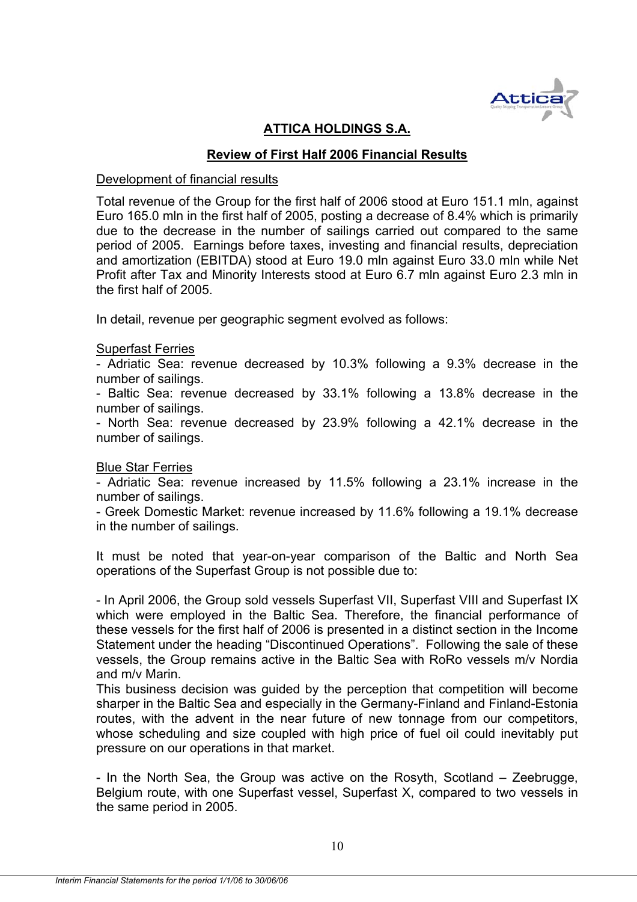

# **ATTICA HOLDINGS S.A.**

# **Review of First Half 2006 Financial Results**

#### Development of financial results

Total revenue of the Group for the first half of 2006 stood at Euro 151.1 mln, against Euro 165.0 mln in the first half of 2005, posting a decrease of 8.4% which is primarily due to the decrease in the number of sailings carried out compared to the same period of 2005. Earnings before taxes, investing and financial results, depreciation and amortization (EBITDA) stood at Euro 19.0 mln against Euro 33.0 mln while Net Profit after Tax and Minority Interests stood at Euro 6.7 mln against Euro 2.3 mln in the first half of 2005.

In detail, revenue per geographic segment evolved as follows:

#### Superfast Ferries

- Adriatic Sea: revenue decreased by 10.3% following a 9.3% decrease in the number of sailings.

- Baltic Sea: revenue decreased by 33.1% following a 13.8% decrease in the number of sailings.

- North Sea: revenue decreased by 23.9% following a 42.1% decrease in the number of sailings.

#### Blue Star Ferries

- Adriatic Sea: revenue increased by 11.5% following a 23.1% increase in the number of sailings.

- Greek Domestic Market: revenue increased by 11.6% following a 19.1% decrease in the number of sailings.

It must be noted that year-on-year comparison of the Baltic and North Sea operations of the Superfast Group is not possible due to:

- In April 2006, the Group sold vessels Superfast VII, Superfast VIII and Superfast IX which were employed in the Baltic Sea. Therefore, the financial performance of these vessels for the first half of 2006 is presented in a distinct section in the Income Statement under the heading "Discontinued Operations". Following the sale of these vessels, the Group remains active in the Baltic Sea with RoRo vessels m/v Nordia and m/v Marin.

This business decision was guided by the perception that competition will become sharper in the Baltic Sea and especially in the Germany-Finland and Finland-Estonia routes, with the advent in the near future of new tonnage from our competitors, whose scheduling and size coupled with high price of fuel oil could inevitably put pressure on our operations in that market.

- In the North Sea, the Group was active on the Rosyth, Scotland – Zeebrugge, Belgium route, with one Superfast vessel, Superfast X, compared to two vessels in the same period in 2005.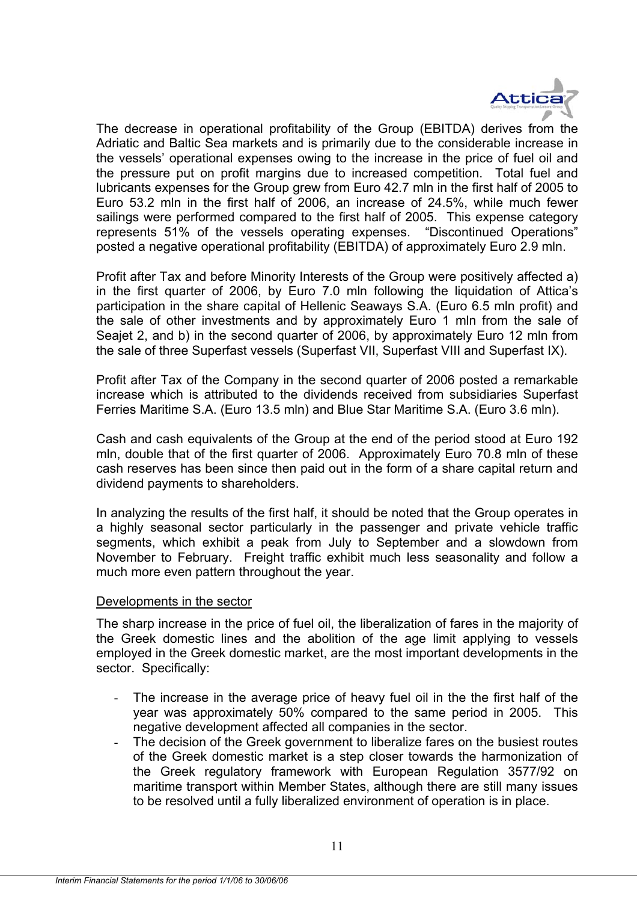

The decrease in operational profitability of the Group (EBITDA) derives from the Adriatic and Baltic Sea markets and is primarily due to the considerable increase in the vessels' operational expenses owing to the increase in the price of fuel oil and the pressure put on profit margins due to increased competition. Total fuel and lubricants expenses for the Group grew from Euro 42.7 mln in the first half of 2005 to Euro 53.2 mln in the first half of 2006, an increase of 24.5%, while much fewer sailings were performed compared to the first half of 2005. This expense category represents 51% of the vessels operating expenses. "Discontinued Operations" posted a negative operational profitability (EBITDA) of approximately Euro 2.9 mln.

Profit after Tax and before Minority Interests of the Group were positively affected a) in the first quarter of 2006, by Euro 7.0 mln following the liquidation of Attica's participation in the share capital of Hellenic Seaways S.Α. (Euro 6.5 mln profit) and the sale of other investments and by approximately Euro 1 mln from the sale of Seajet 2, and b) in the second quarter of 2006, by approximately Euro 12 mln from the sale of three Superfast vessels (Superfast VII, Superfast VIII and Superfast IX).

Profit after Tax of the Company in the second quarter of 2006 posted a remarkable increase which is attributed to the dividends received from subsidiaries Superfast Ferries Maritime S.A. (Euro 13.5 mln) and Blue Star Maritime S.Α. (Euro 3.6 mln).

Cash and cash equivalents of the Group at the end of the period stood at Euro 192 mln, double that of the first quarter of 2006. Approximately Euro 70.8 mln of these cash reserves has been since then paid out in the form of a share capital return and dividend payments to shareholders.

In analyzing the results of the first half, it should be noted that the Group operates in a highly seasonal sector particularly in the passenger and private vehicle traffic segments, which exhibit a peak from July to September and a slowdown from November to February. Freight traffic exhibit much less seasonality and follow a much more even pattern throughout the year.

#### Developments in the sector

The sharp increase in the price of fuel oil, the liberalization of fares in the majority of the Greek domestic lines and the abolition of the age limit applying to vessels employed in the Greek domestic market, are the most important developments in the sector. Specifically:

- The increase in the average price of heavy fuel oil in the the first half of the year was approximately 50% compared to the same period in 2005. This negative development affected all companies in the sector.
- The decision of the Greek government to liberalize fares on the busiest routes of the Greek domestic market is a step closer towards the harmonization of the Greek regulatory framework with European Regulation 3577/92 on maritime transport within Member States, although there are still many issues to be resolved until a fully liberalized environment of operation is in place.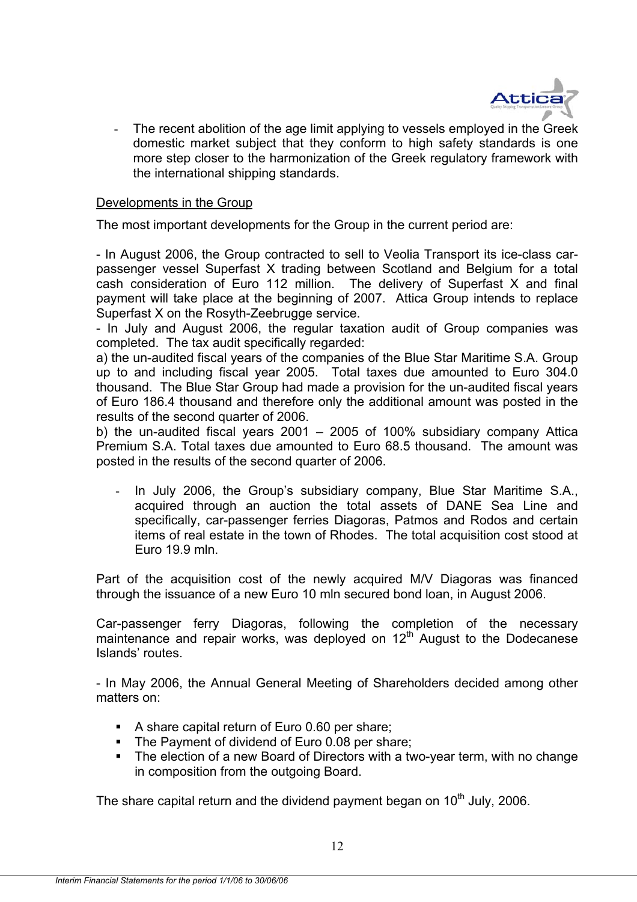

The recent abolition of the age limit applying to vessels employed in the Greek domestic market subject that they conform to high safety standards is one more step closer to the harmonization of the Greek regulatory framework with the international shipping standards.

#### Developments in the Group

The most important developments for the Group in the current period are:

- In August 2006, the Group contracted to sell to Veolia Transport its ice-class carpassenger vessel Superfast X trading between Scotland and Belgium for a total cash consideration of Euro 112 million. The delivery of Superfast X and final payment will take place at the beginning of 2007. Attica Group intends to replace Superfast X on the Rosyth-Zeebrugge service.

- In July and August 2006, the regular taxation audit of Group companies was completed. The tax audit specifically regarded:

a) the un-audited fiscal years of the companies of the Blue Star Maritime S.A. Group up to and including fiscal year 2005. Total taxes due amounted to Euro 304.0 thousand. The Blue Star Group had made a provision for the un-audited fiscal years of Euro 186.4 thousand and therefore only the additional amount was posted in the results of the second quarter of 2006.

b) the un-audited fiscal years 2001 – 2005 of 100% subsidiary company Attica Premium S.A. Total taxes due amounted to Euro 68.5 thousand. The amount was posted in the results of the second quarter of 2006.

- In July 2006, the Group's subsidiary company, Blue Star Maritime S.Α., acquired through an auction the total assets of DΑΝΕ Sea Line and specifically, car-passenger ferries Diagoras, Patmos and Rodos and certain items of real estate in the town of Rhodes. The total acquisition cost stood at Euro 19.9 mln.

Part of the acquisition cost of the newly acquired M/V Diagoras was financed through the issuance of a new Euro 10 mln secured bond loan, in August 2006.

Car-passenger ferry Diagoras, following the completion of the necessary maintenance and repair works, was deployed on 12<sup>th</sup> August to the Dodecanese Islands' routes.

- In May 2006, the Annual General Meeting of Shareholders decided among other matters on:

- A share capital return of Euro 0.60 per share;
- The Payment of dividend of Euro 0.08 per share;
- The election of a new Board of Directors with a two-year term, with no change in composition from the outgoing Board.

The share capital return and the dividend payment began on 10<sup>th</sup> July, 2006.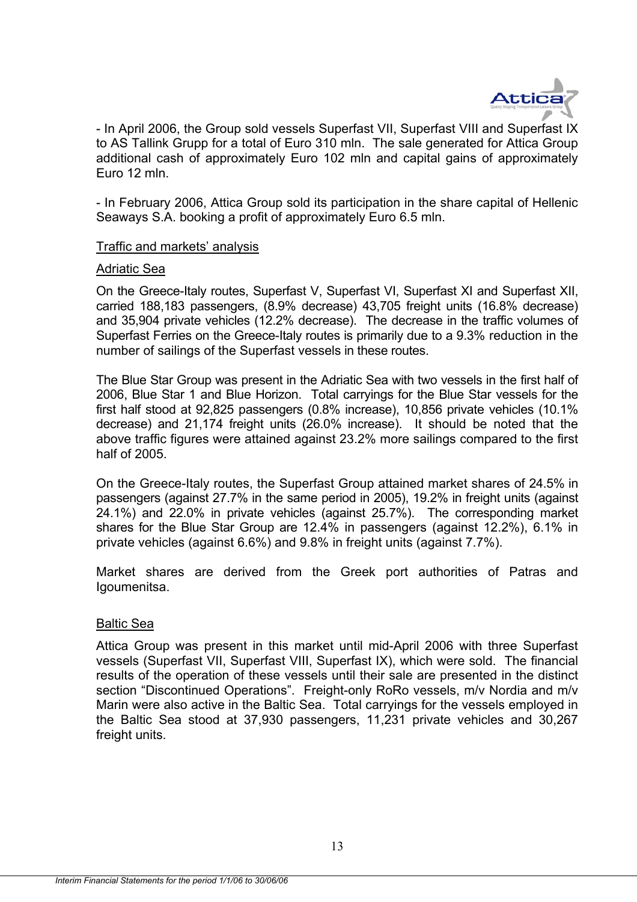

- In April 2006, the Group sold vessels Superfast VII, Superfast VIII and Superfast IX to AS Tallink Grupp for a total of Euro 310 mln. The sale generated for Attica Group additional cash of approximately Euro 102 mln and capital gains of approximately Euro 12 mln.

- In February 2006, Attica Group sold its participation in the share capital of Hellenic Seaways S.Α. booking a profit of approximately Euro 6.5 mln.

#### Traffic and markets' analysis

#### Αdriatic Sea

On the Greece-Italy routes, Superfast V, Superfast VI, Superfast XI and Superfast XII, carried 188,183 passengers, (8.9% decrease) 43,705 freight units (16.8% decrease) and 35,904 private vehicles (12.2% decrease). The decrease in the traffic volumes of Superfast Ferries on the Greece-Italy routes is primarily due to a 9.3% reduction in the number of sailings of the Superfast vessels in these routes.

The Blue Star Group was present in the Adriatic Sea with two vessels in the first half of 2006, Blue Star 1 and Blue Horizon. Total carryings for the Blue Star vessels for the first half stood at 92,825 passengers (0.8% increase), 10,856 private vehicles (10.1% decrease) and 21,174 freight units (26.0% increase). It should be noted that the above traffic figures were attained against 23.2% more sailings compared to the first half of 2005.

On the Greece-Italy routes, the Superfast Group attained market shares of 24.5% in passengers (against 27.7% in the same period in 2005), 19.2% in freight units (against 24.1%) and 22.0% in private vehicles (against 25.7%). The corresponding market shares for the Blue Star Group are 12.4% in passengers (against 12.2%), 6.1% in private vehicles (against 6.6%) and 9.8% in freight units (against 7.7%).

Market shares are derived from the Greek port authorities of Patras and Igoumenitsa.

#### Βaltic Sea

Attica Group was present in this market until mid-April 2006 with three Superfast vessels (Superfast VII, Superfast VIII, Superfast IX), which were sold. The financial results of the operation of these vessels until their sale are presented in the distinct section "Discontinued Operations". Freight-only RoRo vessels, m/v Nordia and m/v Marin were also active in the Baltic Sea. Total carryings for the vessels employed in the Baltic Sea stood at 37,930 passengers, 11,231 private vehicles and 30,267 freight units.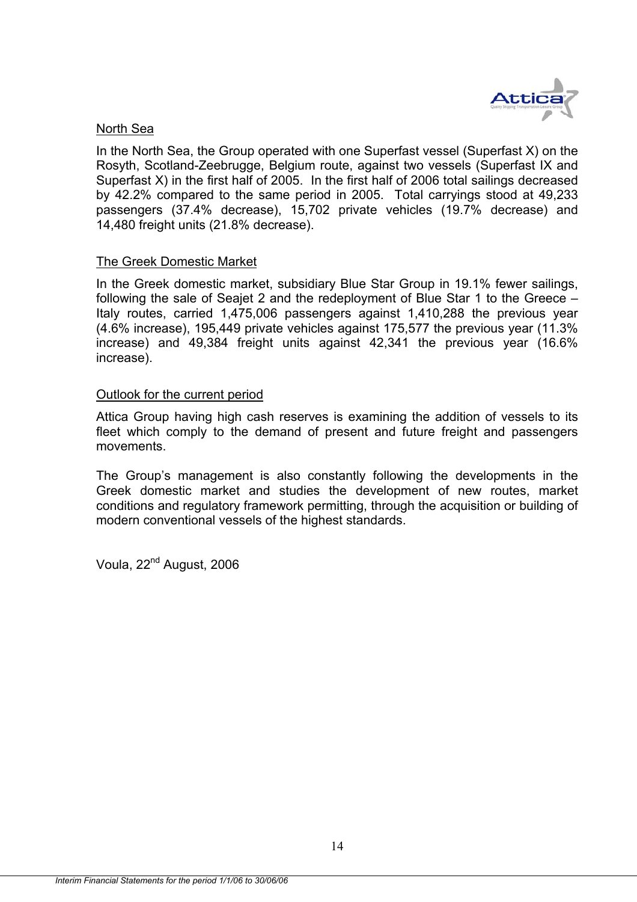

#### North Sea

In the North Sea, the Group operated with one Superfast vessel (Superfast X) on the Rosyth, Scotland-Zeebrugge, Belgium route, against two vessels (Superfast IX and Superfast X) in the first half of 2005. In the first half of 2006 total sailings decreased by 42.2% compared to the same period in 2005. Total carryings stood at 49,233 passengers (37.4% decrease), 15,702 private vehicles (19.7% decrease) and 14,480 freight units (21.8% decrease).

#### The Greek Domestic Market

In the Greek domestic market, subsidiary Blue Star Group in 19.1% fewer sailings, following the sale of Seajet 2 and the redeployment of Blue Star 1 to the Greece – Italy routes, carried 1,475,006 passengers against 1,410,288 the previous year (4.6% increase), 195,449 private vehicles against 175,577 the previous year (11.3% increase) and 49,384 freight units against 42,341 the previous year (16.6% increase).

#### Outlook for the current period

Attica Group having high cash reserves is examining the addition of vessels to its fleet which comply to the demand of present and future freight and passengers movements.

The Group's management is also constantly following the developments in the Greek domestic market and studies the development of new routes, market conditions and regulatory framework permitting, through the acquisition or building of modern conventional vessels of the highest standards.

Voula, 22<sup>nd</sup> August, 2006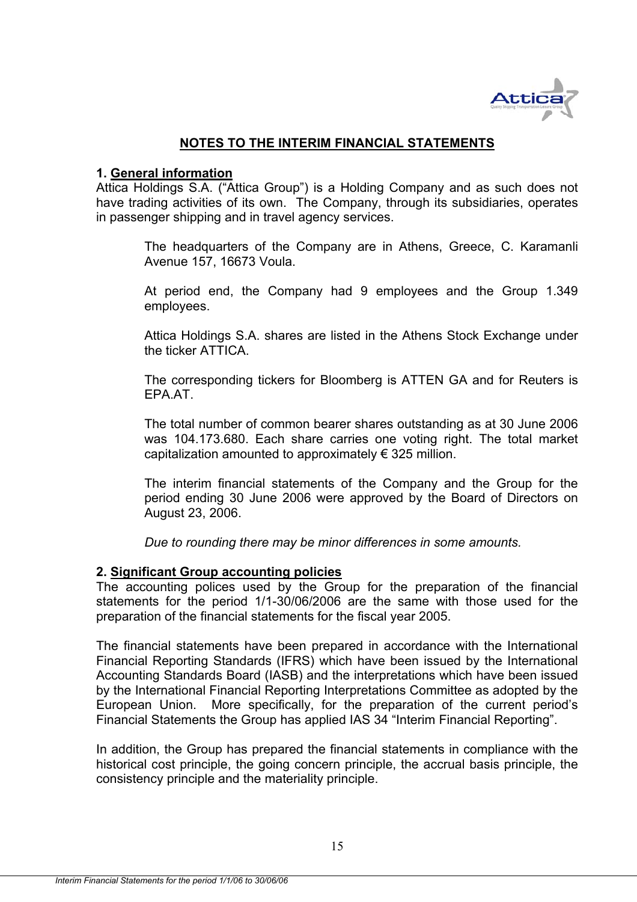

### **NOTES TO THE INTERIM FINANCIAL STATEMENTS**

#### **1. General information**

Attica Holdings S.A. ("Attica Group") is a Holding Company and as such does not have trading activities of its own. The Company, through its subsidiaries, operates in passenger shipping and in travel agency services.

The headquarters of the Company are in Athens, Greece, C. Karamanli Avenue 157, 16673 Voula.

At period end, the Company had 9 employees and the Group 1.349 employees.

Attica Holdings S.A. shares are listed in the Athens Stock Exchange under the ticker ATTICA.

The corresponding tickers for Bloomberg is ATTEN GA and for Reuters is EPA.AT.

The total number of common bearer shares outstanding as at 30 June 2006 was 104.173.680. Each share carries one voting right. The total market capitalization amounted to approximately € 325 million.

The interim financial statements of the Company and the Group for the period ending 30 June 2006 were approved by the Board of Directors on August 23, 2006.

*Due to rounding there may be minor differences in some amounts.* 

#### **2. Significant Group accounting policies**

The accounting polices used by the Group for the preparation of the financial statements for the period 1/1-30/06/2006 are the same with those used for the preparation of the financial statements for the fiscal year 2005.

The financial statements have been prepared in accordance with the International Financial Reporting Standards (IFRS) which have been issued by the International Accounting Standards Board (IASB) and the interpretations which have been issued by the International Financial Reporting Interpretations Committee as adopted by the European Union. More specifically, for the preparation of the current period's Financial Statements the Group has applied IAS 34 "Interim Financial Reporting".

In addition, the Group has prepared the financial statements in compliance with the historical cost principle, the going concern principle, the accrual basis principle, the consistency principle and the materiality principle.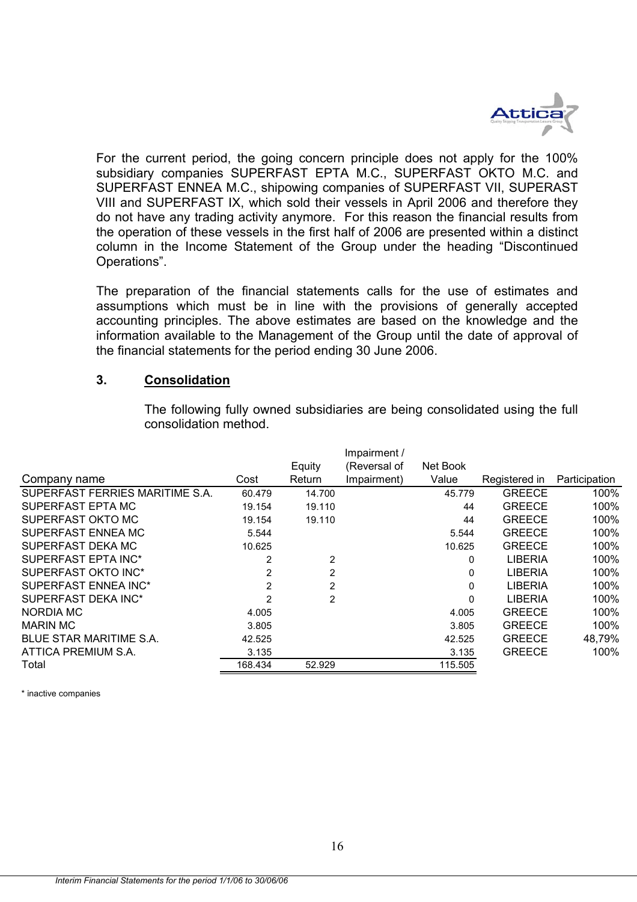

For the current period, the going concern principle does not apply for the 100% subsidiary companies SUPERFAST EPTA M.C., SUPERFAST OKTO M.C. and SUPERFAST ENNEA M.C., shipowing companies of SUPERFAST VII, SUPERAST VIII and SUPERFAST IX, which sold their vessels in April 2006 and therefore they do not have any trading activity anymore. For this reason the financial results from the operation of these vessels in the first half of 2006 are presented within a distinct column in the Income Statement of the Group under the heading "Discontinued Operations".

The preparation of the financial statements calls for the use of estimates and assumptions which must be in line with the provisions of generally accepted accounting principles. The above estimates are based οn the knowledge and the information available to the Management of the Group until the date of approval of the financial statements for the period ending 30 June 2006.

#### **3. Consolidation**

|                                 |                |        | Impairment / |          |                |               |
|---------------------------------|----------------|--------|--------------|----------|----------------|---------------|
|                                 |                | Equity | (Reversal of | Net Book |                |               |
| Company name                    | Cost           | Return | Impairment)  | Value    | Registered in  | Participation |
| SUPERFAST FERRIES MARITIME S.A. | 60.479         | 14.700 |              | 45.779   | <b>GREECE</b>  | 100%          |
| SUPERFAST EPTA MC               | 19.154         | 19.110 |              | 44       | <b>GREECE</b>  | 100%          |
| SUPERFAST OKTO MC               | 19.154         | 19.110 |              | 44       | <b>GREECE</b>  | 100%          |
| SUPERFAST ENNEA MC              | 5.544          |        |              | 5.544    | <b>GREECE</b>  | 100%          |
| SUPERFAST DEKA MC               | 10.625         |        |              | 10.625   | <b>GREECE</b>  | 100%          |
| SUPERFAST EPTA INC*             | 2              | 2      |              | 0        | <b>LIBERIA</b> | 100%          |
| SUPERFAST OKTO INC*             | $\overline{2}$ | 2      |              | 0        | <b>LIBERIA</b> | 100%          |
| SUPERFAST ENNEA INC*            | 2              | 2      |              | 0        | <b>LIBERIA</b> | 100%          |
| SUPERFAST DEKA INC*             | $\overline{2}$ | 2      |              | 0        | <b>LIBERIA</b> | 100%          |
| NORDIA MC                       | 4.005          |        |              | 4.005    | <b>GREECE</b>  | 100%          |
| MARIN MC                        | 3.805          |        |              | 3.805    | <b>GREECE</b>  | 100%          |
| BLUE STAR MARITIME S.A.         | 42.525         |        |              | 42.525   | <b>GREECE</b>  | 48,79%        |
| ATTICA PREMIUM S.A.             | 3.135          |        |              | 3.135    | <b>GREECE</b>  | 100%          |
| Total                           | 168.434        | 52.929 |              | 115.505  |                |               |
|                                 |                |        |              |          |                |               |

The following fully owned subsidiaries are being consolidated using the full consolidation method.

\* inactive companies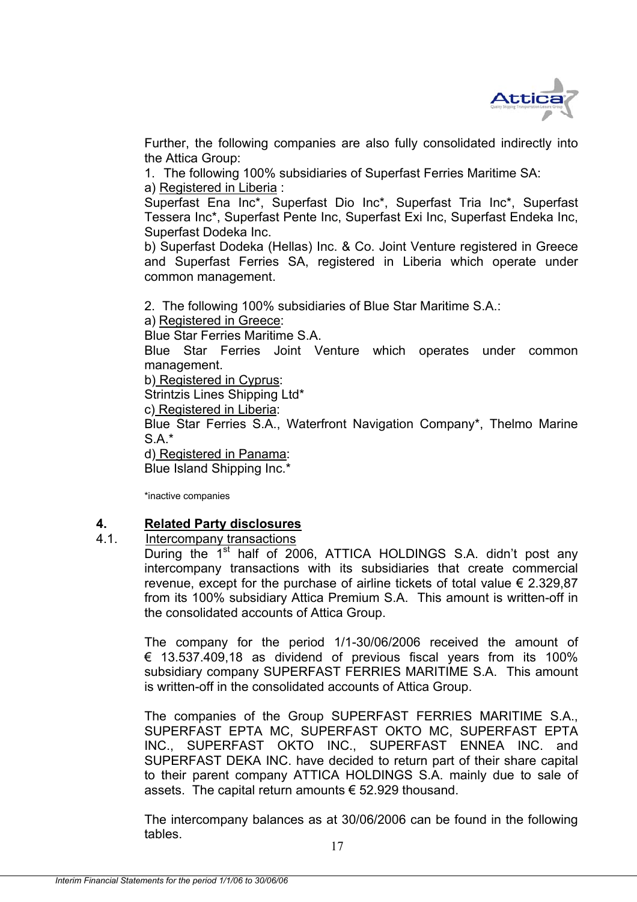

Further, the following companies are also fully consolidated indirectly into the Attica Group:

1. The following 100% subsidiaries of Superfast Ferries Maritime SA: a) Registered in Liberia :

Superfast Ena Inc\*, Superfast Dio Inc\*, Superfast Tria Inc\*, Superfast Tessera Inc\*, Superfast Pente Inc, Superfast Exi Inc, Superfast Endeka Inc, Superfast Dodeka Inc.

b) Superfast Dodeka (Hellas) Inc. & Co. Joint Venture registered in Greece and Superfast Ferries SA, registered in Liberia which operate under common management.

2. The following 100% subsidiaries of Blue Star Maritime S.A.:

a) Registered in Greece:

Blue Star Ferries Maritime S.A.

Blue Star Ferries Joint Venture which operates under common management.

b) Registered in Cyprus:

Strintzis Lines Shipping Ltd\*

c) Registered in Liberia:

Blue Star Ferries S.A., Waterfront Navigation Company\*, Thelmo Marine S.A.\*

d) Registered in Panama: Blue Island Shipping Inc.\*

\*inactive companies

#### **4. Related Party disclosures**

#### 4.1. Intercompany transactions

During the 1<sup>st</sup> half of 2006, ATTICA HOLDINGS S.A. didn't post any intercompany transactions with its subsidiaries that create commercial revenue, except for the purchase of airline tickets of total value  $\epsilon$  2.329,87 from its 100% subsidiary Attica Premium S.A. This amount is written-off in the consolidated accounts of Attica Group.

The company for the period 1/1-30/06/2006 received the amount of  $\epsilon$  13.537.409,18 as dividend of previous fiscal years from its 100% subsidiary company SUPERFAST FERRIES MARITIME S.A. This amount is written-off in the consolidated accounts of Attica Group.

The companies of the Group SUPERFAST FERRIES MARITIME S.A., SUPERFAST EPTA MC, SUPERFAST OKTO MC, SUPERFAST EPTA INC., SUPERFAST OKTO INC., SUPERFAST ENNEA INC. and SUPERFAST DEKA INC. have decided to return part of their share capital to their parent company ATTICA HOLDINGS S.A. mainly due to sale of assets. The capital return amounts  $€ 52.929$  thousand.

The intercompany balances as at 30/06/2006 can be found in the following tables.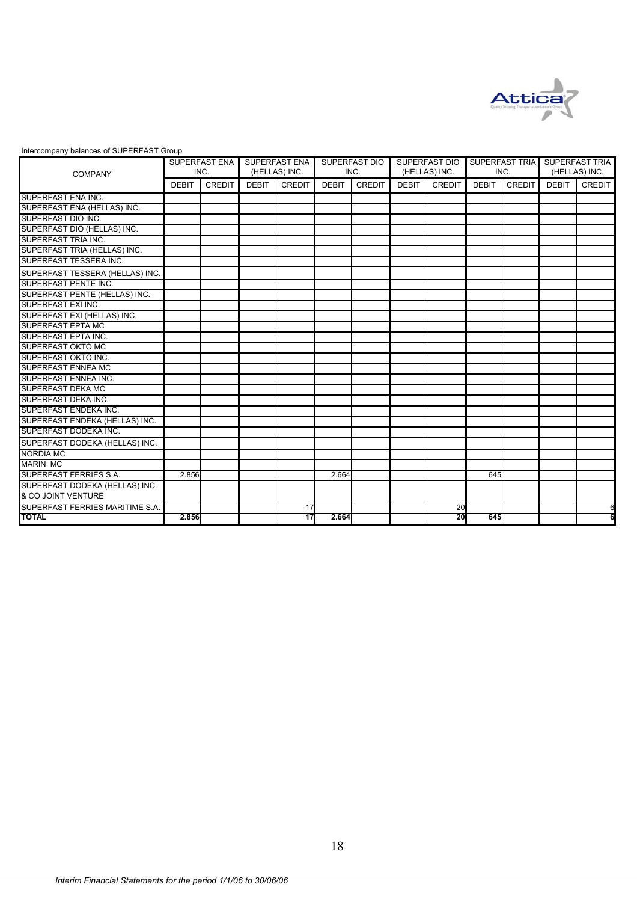

|  | Intercompany balances of SUPERFAST Group |  |
|--|------------------------------------------|--|
|--|------------------------------------------|--|

| <b>COMPANY</b>                                       |              | SUPERFAST ENA<br>INC. |              | <b>SUPERFAST ENA</b><br>(HELLAS) INC. |              | <b>SUPERFAST DIO</b><br>INC. |              | <b>SUPERFAST DIO</b><br>(HELLAS) INC. |              | SUPERFAST TRIA<br>INC. |              | <b>SUPERFAST TRIA</b><br>(HELLAS) INC. |
|------------------------------------------------------|--------------|-----------------------|--------------|---------------------------------------|--------------|------------------------------|--------------|---------------------------------------|--------------|------------------------|--------------|----------------------------------------|
|                                                      | <b>DEBIT</b> | <b>CREDIT</b>         | <b>DEBIT</b> | CREDIT                                | <b>DEBIT</b> | <b>CREDIT</b>                | <b>DEBIT</b> | CREDIT                                | <b>DEBIT</b> | <b>CREDIT</b>          | <b>DEBIT</b> | <b>CREDIT</b>                          |
| SUPERFAST ENA INC.                                   |              |                       |              |                                       |              |                              |              |                                       |              |                        |              |                                        |
| SUPERFAST ENA (HELLAS) INC.                          |              |                       |              |                                       |              |                              |              |                                       |              |                        |              |                                        |
| SUPERFAST DIO INC.                                   |              |                       |              |                                       |              |                              |              |                                       |              |                        |              |                                        |
| SUPERFAST DIO (HELLAS) INC.                          |              |                       |              |                                       |              |                              |              |                                       |              |                        |              |                                        |
| SUPERFAST TRIA INC.                                  |              |                       |              |                                       |              |                              |              |                                       |              |                        |              |                                        |
| SUPERFAST TRIA (HELLAS) INC.                         |              |                       |              |                                       |              |                              |              |                                       |              |                        |              |                                        |
| SUPERFAST TESSERA INC.                               |              |                       |              |                                       |              |                              |              |                                       |              |                        |              |                                        |
| SUPERFAST TESSERA (HELLAS) INC.                      |              |                       |              |                                       |              |                              |              |                                       |              |                        |              |                                        |
| <b>SUPERFAST PENTE INC.</b>                          |              |                       |              |                                       |              |                              |              |                                       |              |                        |              |                                        |
| SUPERFAST PENTE (HELLAS) INC.                        |              |                       |              |                                       |              |                              |              |                                       |              |                        |              |                                        |
| SUPERFAST EXI INC.                                   |              |                       |              |                                       |              |                              |              |                                       |              |                        |              |                                        |
| SUPERFAST EXI (HELLAS) INC.                          |              |                       |              |                                       |              |                              |              |                                       |              |                        |              |                                        |
| <b>SUPERFAST EPTA MC</b>                             |              |                       |              |                                       |              |                              |              |                                       |              |                        |              |                                        |
| <b>SUPERFAST EPTA INC.</b>                           |              |                       |              |                                       |              |                              |              |                                       |              |                        |              |                                        |
| <b>SUPERFAST OKTO MC</b>                             |              |                       |              |                                       |              |                              |              |                                       |              |                        |              |                                        |
| <b>SUPERFAST OKTO INC.</b>                           |              |                       |              |                                       |              |                              |              |                                       |              |                        |              |                                        |
| <b>SUPERFAST ENNEA MC</b>                            |              |                       |              |                                       |              |                              |              |                                       |              |                        |              |                                        |
| <b>SUPERFAST ENNEA INC.</b>                          |              |                       |              |                                       |              |                              |              |                                       |              |                        |              |                                        |
| <b>SUPERFAST DEKA MC</b>                             |              |                       |              |                                       |              |                              |              |                                       |              |                        |              |                                        |
| SUPERFAST DEKA INC.                                  |              |                       |              |                                       |              |                              |              |                                       |              |                        |              |                                        |
| SUPERFAST ENDEKA INC.                                |              |                       |              |                                       |              |                              |              |                                       |              |                        |              |                                        |
| SUPERFAST ENDEKA (HELLAS) INC.                       |              |                       |              |                                       |              |                              |              |                                       |              |                        |              |                                        |
| SUPERFAST DODEKA INC.                                |              |                       |              |                                       |              |                              |              |                                       |              |                        |              |                                        |
| SUPERFAST DODEKA (HELLAS) INC.                       |              |                       |              |                                       |              |                              |              |                                       |              |                        |              |                                        |
| <b>NORDIA MC</b>                                     |              |                       |              |                                       |              |                              |              |                                       |              |                        |              |                                        |
| <b>MARIN MC</b>                                      |              |                       |              |                                       |              |                              |              |                                       |              |                        |              |                                        |
| <b>SUPERFAST FERRIES S.A.</b>                        | 2.856        |                       |              |                                       | 2.664        |                              |              |                                       | 645          |                        |              |                                        |
| SUPERFAST DODEKA (HELLAS) INC.<br>& CO JOINT VENTURE |              |                       |              |                                       |              |                              |              |                                       |              |                        |              |                                        |
| SUPERFAST FERRIES MARITIME S.A.                      |              |                       |              | 17                                    |              |                              |              | 20                                    |              |                        |              |                                        |
| <b>TOTAL</b>                                         | 2.856        |                       |              | 17                                    | 2.664        |                              |              | 20                                    | 645          |                        |              |                                        |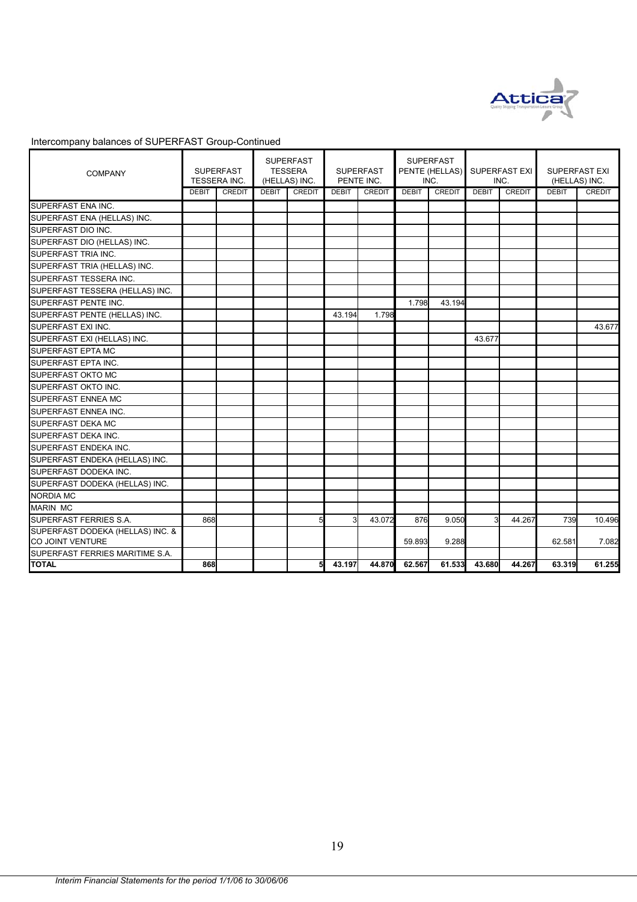

| <b>COMPANY</b>                                       |              | <b>SUPERFAST</b><br>TESSERA INC. |              | <b>SUPERFAST</b><br><b>TESSERA</b><br>(HELLAS) INC. |              | <b>SUPERFAST</b><br>PENTE INC. |              | <b>SUPERFAST</b><br>PENTE (HELLAS)<br>INC. |              | <b>SUPERFAST EXI</b><br>INC. |              | <b>SUPERFAST EXI</b><br>(HELLAS) INC. |
|------------------------------------------------------|--------------|----------------------------------|--------------|-----------------------------------------------------|--------------|--------------------------------|--------------|--------------------------------------------|--------------|------------------------------|--------------|---------------------------------------|
|                                                      | <b>DEBIT</b> | <b>CREDIT</b>                    | <b>DEBIT</b> | CREDIT                                              | <b>DEBIT</b> | <b>CREDIT</b>                  | <b>DEBIT</b> | <b>CREDIT</b>                              | <b>DEBIT</b> | <b>CREDIT</b>                | <b>DEBIT</b> | <b>CREDIT</b>                         |
| SUPERFAST ENA INC.                                   |              |                                  |              |                                                     |              |                                |              |                                            |              |                              |              |                                       |
| SUPERFAST ENA (HELLAS) INC.                          |              |                                  |              |                                                     |              |                                |              |                                            |              |                              |              |                                       |
| SUPERFAST DIO INC.                                   |              |                                  |              |                                                     |              |                                |              |                                            |              |                              |              |                                       |
| SUPERFAST DIO (HELLAS) INC.                          |              |                                  |              |                                                     |              |                                |              |                                            |              |                              |              |                                       |
| <b>SUPERFAST TRIA INC.</b>                           |              |                                  |              |                                                     |              |                                |              |                                            |              |                              |              |                                       |
| SUPERFAST TRIA (HELLAS) INC.                         |              |                                  |              |                                                     |              |                                |              |                                            |              |                              |              |                                       |
| SUPERFAST TESSERA INC.                               |              |                                  |              |                                                     |              |                                |              |                                            |              |                              |              |                                       |
| SUPERFAST TESSERA (HELLAS) INC.                      |              |                                  |              |                                                     |              |                                |              |                                            |              |                              |              |                                       |
| SUPERFAST PENTE INC.                                 |              |                                  |              |                                                     |              |                                | 1.798        | 43.194                                     |              |                              |              |                                       |
| SUPERFAST PENTE (HELLAS) INC.                        |              |                                  |              |                                                     | 43.194       | 1.798                          |              |                                            |              |                              |              |                                       |
| SUPERFAST EXI INC.                                   |              |                                  |              |                                                     |              |                                |              |                                            |              |                              |              | 43.677                                |
| SUPERFAST EXI (HELLAS) INC.                          |              |                                  |              |                                                     |              |                                |              |                                            | 43.677       |                              |              |                                       |
| SUPERFAST EPTA MC                                    |              |                                  |              |                                                     |              |                                |              |                                            |              |                              |              |                                       |
| SUPERFAST EPTA INC.                                  |              |                                  |              |                                                     |              |                                |              |                                            |              |                              |              |                                       |
| <b>SUPERFAST OKTO MC</b>                             |              |                                  |              |                                                     |              |                                |              |                                            |              |                              |              |                                       |
| SUPERFAST OKTO INC.                                  |              |                                  |              |                                                     |              |                                |              |                                            |              |                              |              |                                       |
| SUPERFAST ENNEA MC                                   |              |                                  |              |                                                     |              |                                |              |                                            |              |                              |              |                                       |
| SUPERFAST ENNEA INC.                                 |              |                                  |              |                                                     |              |                                |              |                                            |              |                              |              |                                       |
| SUPERFAST DEKA MC                                    |              |                                  |              |                                                     |              |                                |              |                                            |              |                              |              |                                       |
| SUPERFAST DEKA INC.                                  |              |                                  |              |                                                     |              |                                |              |                                            |              |                              |              |                                       |
| SUPERFAST ENDEKA INC.                                |              |                                  |              |                                                     |              |                                |              |                                            |              |                              |              |                                       |
| SUPERFAST ENDEKA (HELLAS) INC.                       |              |                                  |              |                                                     |              |                                |              |                                            |              |                              |              |                                       |
| SUPERFAST DODEKA INC.                                |              |                                  |              |                                                     |              |                                |              |                                            |              |                              |              |                                       |
| SUPERFAST DODEKA (HELLAS) INC.                       |              |                                  |              |                                                     |              |                                |              |                                            |              |                              |              |                                       |
| <b>NORDIA MC</b>                                     |              |                                  |              |                                                     |              |                                |              |                                            |              |                              |              |                                       |
| <b>MARIN MC</b>                                      |              |                                  |              |                                                     |              |                                |              |                                            |              |                              |              |                                       |
| SUPERFAST FERRIES S.A.                               | 868          |                                  |              |                                                     | 3            | 43.072                         | 876          | 9.050                                      | 3            | 44.267                       | 739          | 10.496                                |
| SUPERFAST DODEKA (HELLAS) INC. &<br>CO JOINT VENTURE |              |                                  |              |                                                     |              |                                | 59.893       | 9.288                                      |              |                              | 62.581       | 7.082                                 |
| SUPERFAST FERRIES MARITIME S.A.                      |              |                                  |              |                                                     |              |                                |              |                                            |              |                              |              |                                       |
| <b>TOTAL</b>                                         | 868          |                                  |              | 5                                                   | 43.197       | 44.870                         | 62.567       | 61.533                                     | 43.680       | 44.267                       | 63.319       | 61.255                                |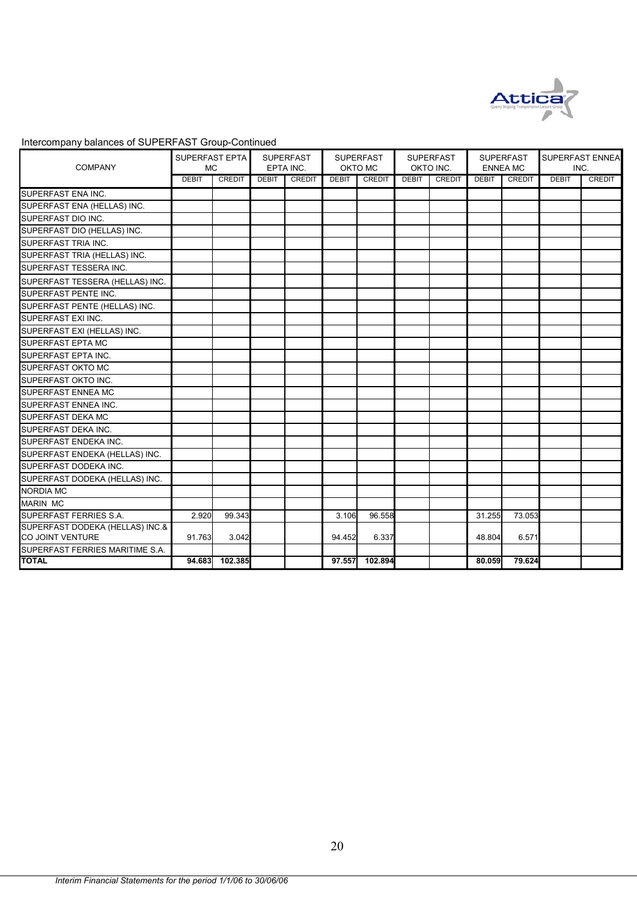

| <b>COMPANY</b>                  | SUPERFAST EPTA<br><b>MC</b> |               |              | <b>SUPERFAST</b><br>EPTA INC. |              | <b>SUPERFAST</b><br>OKTO MC |              | <b>SUPERFAST</b><br>OKTO INC. |              | <b>SUPERFAST</b><br><b>ENNEA MC</b> | INC.         | SUPERFAST ENNEA |
|---------------------------------|-----------------------------|---------------|--------------|-------------------------------|--------------|-----------------------------|--------------|-------------------------------|--------------|-------------------------------------|--------------|-----------------|
|                                 | <b>DEBIT</b>                | <b>CREDIT</b> | <b>DEBIT</b> | <b>CREDIT</b>                 | <b>DEBIT</b> | CREDIT                      | <b>DEBIT</b> | CREDIT                        | <b>DEBIT</b> | CREDIT                              | <b>DEBIT</b> | <b>CREDIT</b>   |
| SUPERFAST ENA INC.              |                             |               |              |                               |              |                             |              |                               |              |                                     |              |                 |
| SUPERFAST ENA (HELLAS) INC.     |                             |               |              |                               |              |                             |              |                               |              |                                     |              |                 |
| <b>SUPERFAST DIO INC.</b>       |                             |               |              |                               |              |                             |              |                               |              |                                     |              |                 |
| SUPERFAST DIO (HELLAS) INC.     |                             |               |              |                               |              |                             |              |                               |              |                                     |              |                 |
| SUPERFAST TRIA INC.             |                             |               |              |                               |              |                             |              |                               |              |                                     |              |                 |
| SUPERFAST TRIA (HELLAS) INC.    |                             |               |              |                               |              |                             |              |                               |              |                                     |              |                 |
| SUPERFAST TESSERA INC.          |                             |               |              |                               |              |                             |              |                               |              |                                     |              |                 |
| SUPERFAST TESSERA (HELLAS) INC. |                             |               |              |                               |              |                             |              |                               |              |                                     |              |                 |
| SUPERFAST PENTE INC.            |                             |               |              |                               |              |                             |              |                               |              |                                     |              |                 |
| SUPERFAST PENTE (HELLAS) INC.   |                             |               |              |                               |              |                             |              |                               |              |                                     |              |                 |
| SUPERFAST EXI INC.              |                             |               |              |                               |              |                             |              |                               |              |                                     |              |                 |
| SUPERFAST EXI (HELLAS) INC.     |                             |               |              |                               |              |                             |              |                               |              |                                     |              |                 |
| <b>SUPERFAST EPTA MC</b>        |                             |               |              |                               |              |                             |              |                               |              |                                     |              |                 |
| SUPERFAST EPTA INC.             |                             |               |              |                               |              |                             |              |                               |              |                                     |              |                 |
| SUPERFAST OKTO MC               |                             |               |              |                               |              |                             |              |                               |              |                                     |              |                 |
| SUPERFAST OKTO INC.             |                             |               |              |                               |              |                             |              |                               |              |                                     |              |                 |
| <b>SUPERFAST ENNEA MC</b>       |                             |               |              |                               |              |                             |              |                               |              |                                     |              |                 |
| SUPERFAST ENNEA INC.            |                             |               |              |                               |              |                             |              |                               |              |                                     |              |                 |
| SUPERFAST DEKA MC               |                             |               |              |                               |              |                             |              |                               |              |                                     |              |                 |
| <b>SUPERFAST DEKA INC.</b>      |                             |               |              |                               |              |                             |              |                               |              |                                     |              |                 |
| SUPERFAST ENDEKA INC.           |                             |               |              |                               |              |                             |              |                               |              |                                     |              |                 |
| SUPERFAST ENDEKA (HELLAS) INC.  |                             |               |              |                               |              |                             |              |                               |              |                                     |              |                 |
| SUPERFAST DODEKA INC.           |                             |               |              |                               |              |                             |              |                               |              |                                     |              |                 |
| SUPERFAST DODEKA (HELLAS) INC.  |                             |               |              |                               |              |                             |              |                               |              |                                     |              |                 |
| <b>NORDIA MC</b>                |                             |               |              |                               |              |                             |              |                               |              |                                     |              |                 |
| <b>MARIN MC</b>                 |                             |               |              |                               |              |                             |              |                               |              |                                     |              |                 |
| SUPERFAST FERRIES S.A.          | 2.920                       | 99.343        |              |                               | 3.106        | 96.558                      |              |                               | 31.255       | 73.053                              |              |                 |
| SUPERFAST DODEKA (HELLAS) INC.& |                             |               |              |                               |              |                             |              |                               |              |                                     |              |                 |
| CO JOINT VENTURE                | 91.763                      | 3.042         |              |                               | 94.452       | 6.337                       |              |                               | 48.804       | 6.571                               |              |                 |
| SUPERFAST FERRIES MARITIME S.A. |                             |               |              |                               |              |                             |              |                               |              |                                     |              |                 |
| <b>TOTAL</b>                    | 94.683                      | 102.385       |              |                               | 97.557       | 102.894                     |              |                               | 80.059       | 79.624                              |              |                 |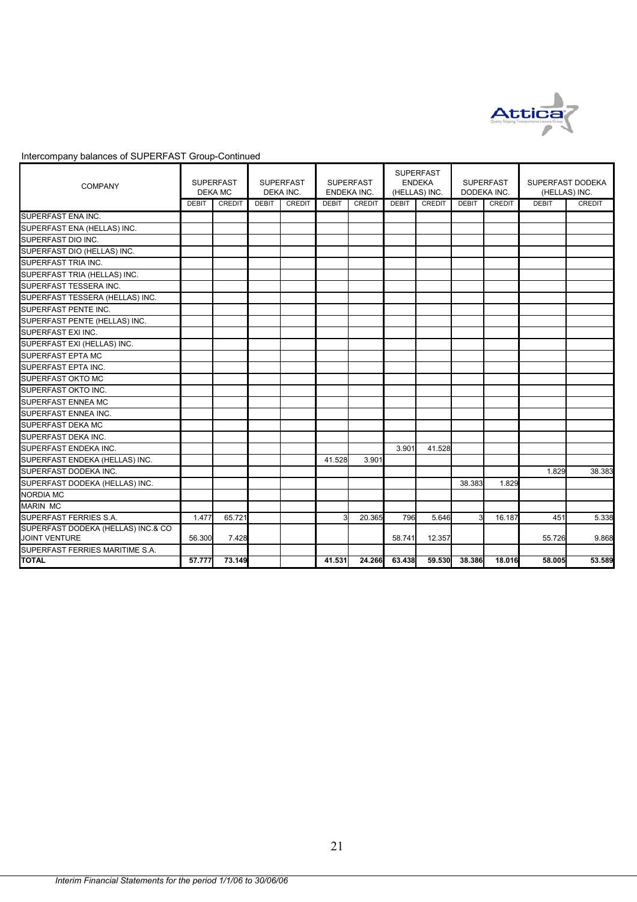

| <b>COMPANY</b>                                             | DEKA MC      | <b>SUPERFAST</b> |              | <b>SUPERFAST</b><br>DEKA INC. | <b>SUPERFAST</b> | ENDEKA INC.   |              | <b>SUPERFAST</b><br><b>ENDEKA</b><br>(HELLAS) INC. |              | <b>SUPERFAST</b><br>DODEKA INC. | SUPERFAST DODEKA<br>(HELLAS) INC. |               |
|------------------------------------------------------------|--------------|------------------|--------------|-------------------------------|------------------|---------------|--------------|----------------------------------------------------|--------------|---------------------------------|-----------------------------------|---------------|
|                                                            | <b>DEBIT</b> | <b>CREDIT</b>    | <b>DEBIT</b> | <b>CREDIT</b>                 | <b>DEBIT</b>     | <b>CREDIT</b> | <b>DEBIT</b> | <b>CREDIT</b>                                      | <b>DEBIT</b> | <b>CREDIT</b>                   | <b>DEBIT</b>                      | <b>CREDIT</b> |
| SUPERFAST ENA INC.                                         |              |                  |              |                               |                  |               |              |                                                    |              |                                 |                                   |               |
| SUPERFAST ENA (HELLAS) INC.                                |              |                  |              |                               |                  |               |              |                                                    |              |                                 |                                   |               |
| SUPERFAST DIO INC.                                         |              |                  |              |                               |                  |               |              |                                                    |              |                                 |                                   |               |
| SUPERFAST DIO (HELLAS) INC.                                |              |                  |              |                               |                  |               |              |                                                    |              |                                 |                                   |               |
| SUPERFAST TRIA INC.                                        |              |                  |              |                               |                  |               |              |                                                    |              |                                 |                                   |               |
| SUPERFAST TRIA (HELLAS) INC.                               |              |                  |              |                               |                  |               |              |                                                    |              |                                 |                                   |               |
| SUPERFAST TESSERA INC.                                     |              |                  |              |                               |                  |               |              |                                                    |              |                                 |                                   |               |
| SUPERFAST TESSERA (HELLAS) INC.                            |              |                  |              |                               |                  |               |              |                                                    |              |                                 |                                   |               |
| SUPERFAST PENTE INC.                                       |              |                  |              |                               |                  |               |              |                                                    |              |                                 |                                   |               |
| SUPERFAST PENTE (HELLAS) INC.                              |              |                  |              |                               |                  |               |              |                                                    |              |                                 |                                   |               |
| SUPERFAST EXI INC.                                         |              |                  |              |                               |                  |               |              |                                                    |              |                                 |                                   |               |
| SUPERFAST EXI (HELLAS) INC.                                |              |                  |              |                               |                  |               |              |                                                    |              |                                 |                                   |               |
| SUPERFAST EPTA MC                                          |              |                  |              |                               |                  |               |              |                                                    |              |                                 |                                   |               |
| SUPERFAST EPTA INC.                                        |              |                  |              |                               |                  |               |              |                                                    |              |                                 |                                   |               |
| SUPERFAST OKTO MC                                          |              |                  |              |                               |                  |               |              |                                                    |              |                                 |                                   |               |
| SUPERFAST OKTO INC.                                        |              |                  |              |                               |                  |               |              |                                                    |              |                                 |                                   |               |
| SUPERFAST ENNEA MC                                         |              |                  |              |                               |                  |               |              |                                                    |              |                                 |                                   |               |
| SUPERFAST ENNEA INC.                                       |              |                  |              |                               |                  |               |              |                                                    |              |                                 |                                   |               |
| SUPERFAST DEKA MC                                          |              |                  |              |                               |                  |               |              |                                                    |              |                                 |                                   |               |
| SUPERFAST DEKA INC.                                        |              |                  |              |                               |                  |               |              |                                                    |              |                                 |                                   |               |
| SUPERFAST ENDEKA INC.                                      |              |                  |              |                               |                  |               | 3.901        | 41.528                                             |              |                                 |                                   |               |
| SUPERFAST ENDEKA (HELLAS) INC.                             |              |                  |              |                               | 41.528           | 3.901         |              |                                                    |              |                                 |                                   |               |
| SUPERFAST DODEKA INC.                                      |              |                  |              |                               |                  |               |              |                                                    |              |                                 | 1.829                             | 38.383        |
| SUPERFAST DODEKA (HELLAS) INC.                             |              |                  |              |                               |                  |               |              |                                                    | 38.383       | 1.829                           |                                   |               |
| <b>NORDIA MC</b>                                           |              |                  |              |                               |                  |               |              |                                                    |              |                                 |                                   |               |
| <b>MARIN MC</b>                                            |              |                  |              |                               |                  |               |              |                                                    |              |                                 |                                   |               |
| SUPERFAST FERRIES S.A.                                     | 1.477        | 65.721           |              |                               | 3                | 20.365        | 796          | 5.646                                              | з            | 16.187                          | 451                               | 5.338         |
| SUPERFAST DODEKA (HELLAS) INC.& CO<br><b>JOINT VENTURE</b> | 56.300       | 7.428            |              |                               |                  |               | 58.741       | 12.357                                             |              |                                 | 55.726                            | 9.868         |
| SUPERFAST FERRIES MARITIME S.A.                            |              |                  |              |                               |                  |               |              |                                                    |              |                                 |                                   |               |
| <b>TOTAL</b>                                               | 57.777       | 73.149           |              |                               | 41.531           | 24.266        | 63.438       | 59.530                                             | 38.386       | 18.016                          | 58,005                            | 53.589        |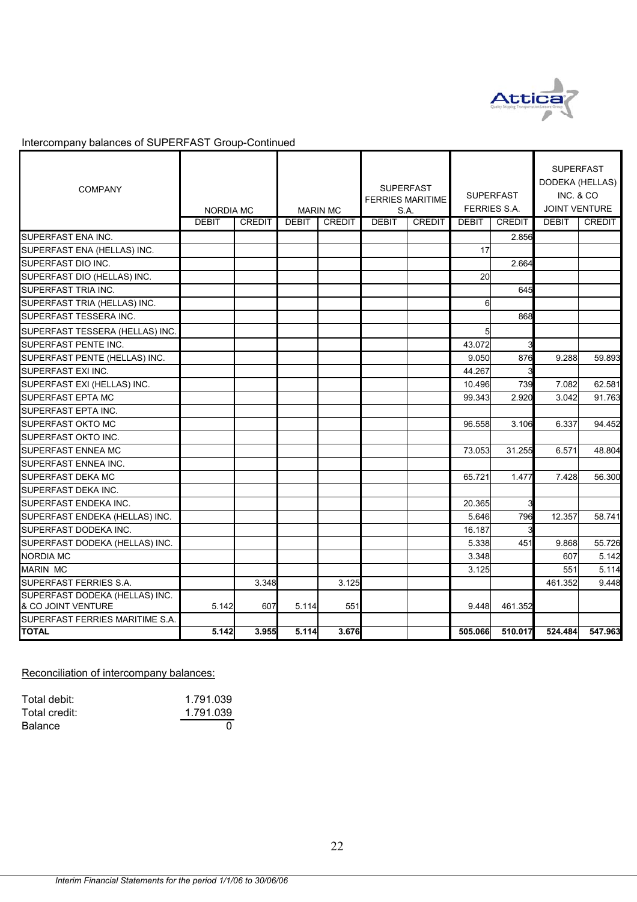

| <b>COMPANY</b>                                       | <b>NORDIA MC</b> |               |              | <b>MARIN MC</b> | S.A.         | <b>SUPERFAST</b><br><b>FERRIES MARITIME</b> |              | <b>SUPERFAST</b><br><b>FERRIES S.A.</b> | <b>SUPERFAST</b><br>DODEKA (HELLAS)<br>INC. & CO<br>JOINT VENTURE |         |
|------------------------------------------------------|------------------|---------------|--------------|-----------------|--------------|---------------------------------------------|--------------|-----------------------------------------|-------------------------------------------------------------------|---------|
|                                                      | <b>DEBIT</b>     | <b>CREDIT</b> | <b>DEBIT</b> | <b>CREDIT</b>   | <b>DEBIT</b> | <b>CREDIT</b>                               | <b>DEBIT</b> | <b>CREDIT</b>                           | <b>DEBIT</b>                                                      | CREDIT  |
| SUPERFAST ENA INC.                                   |                  |               |              |                 |              |                                             |              | 2.856                                   |                                                                   |         |
| SUPERFAST ENA (HELLAS) INC.                          |                  |               |              |                 |              |                                             | 17           |                                         |                                                                   |         |
| SUPERFAST DIO INC.                                   |                  |               |              |                 |              |                                             |              | 2.664                                   |                                                                   |         |
| SUPERFAST DIO (HELLAS) INC.                          |                  |               |              |                 |              |                                             | 20           |                                         |                                                                   |         |
| SUPERFAST TRIA INC.                                  |                  |               |              |                 |              |                                             |              | 645                                     |                                                                   |         |
| SUPERFAST TRIA (HELLAS) INC.                         |                  |               |              |                 |              |                                             | 6            |                                         |                                                                   |         |
| SUPERFAST TESSERA INC.                               |                  |               |              |                 |              |                                             |              | 868                                     |                                                                   |         |
| SUPERFAST TESSERA (HELLAS) INC.                      |                  |               |              |                 |              |                                             | 5            |                                         |                                                                   |         |
| <b>SUPERFAST PENTE INC.</b>                          |                  |               |              |                 |              |                                             | 43.072       | 3                                       |                                                                   |         |
| SUPERFAST PENTE (HELLAS) INC.                        |                  |               |              |                 |              |                                             | 9.050        | 876                                     | 9.288                                                             | 59.893  |
| <b>SUPERFAST EXI INC.</b>                            |                  |               |              |                 |              |                                             | 44.267       |                                         |                                                                   |         |
| SUPERFAST EXI (HELLAS) INC.                          |                  |               |              |                 |              |                                             | 10.496       | 739                                     | 7.082                                                             | 62.581  |
| <b>SUPERFAST EPTA MC</b>                             |                  |               |              |                 |              |                                             | 99.343       | 2.920                                   | 3.042                                                             | 91.763  |
| SUPERFAST EPTA INC.                                  |                  |               |              |                 |              |                                             |              |                                         |                                                                   |         |
| <b>SUPERFAST OKTO MC</b>                             |                  |               |              |                 |              |                                             | 96.558       | 3.106                                   | 6.337                                                             | 94.452  |
| SUPERFAST OKTO INC.                                  |                  |               |              |                 |              |                                             |              |                                         |                                                                   |         |
| <b>SUPERFAST ENNEA MC</b>                            |                  |               |              |                 |              |                                             | 73.053       | 31.255                                  | 6.571                                                             | 48.804  |
| SUPERFAST ENNEA INC.                                 |                  |               |              |                 |              |                                             |              |                                         |                                                                   |         |
| SUPERFAST DEKA MC                                    |                  |               |              |                 |              |                                             | 65.721       | 1.477                                   | 7.428                                                             | 56.300  |
| <b>SUPERFAST DEKA INC.</b>                           |                  |               |              |                 |              |                                             |              |                                         |                                                                   |         |
| SUPERFAST ENDEKA INC.                                |                  |               |              |                 |              |                                             | 20.365       |                                         |                                                                   |         |
| SUPERFAST ENDEKA (HELLAS) INC.                       |                  |               |              |                 |              |                                             | 5.646        | 796                                     | 12.357                                                            | 58.741  |
| SUPERFAST DODEKA INC.                                |                  |               |              |                 |              |                                             | 16.187       | 3                                       |                                                                   |         |
| SUPERFAST DODEKA (HELLAS) INC.                       |                  |               |              |                 |              |                                             | 5.338        | 451                                     | 9.868                                                             | 55.726  |
| <b>NORDIA MC</b>                                     |                  |               |              |                 |              |                                             | 3.348        |                                         | 607                                                               | 5.142   |
| <b>MARIN MC</b>                                      |                  |               |              |                 |              |                                             | 3.125        |                                         | 551                                                               | 5.114   |
| SUPERFAST FERRIES S.A.                               |                  | 3.348         |              | 3.125           |              |                                             |              |                                         | 461.352                                                           | 9.448   |
| SUPERFAST DODEKA (HELLAS) INC.<br>& CO JOINT VENTURE | 5.142            | 607           | 5.114        | 551             |              |                                             | 9.448        | 461.352                                 |                                                                   |         |
| SUPERFAST FERRIES MARITIME S.A.                      |                  |               |              |                 |              |                                             |              |                                         |                                                                   |         |
| <b>TOTAL</b>                                         | 5.142            | 3.955         | 5.114        | 3.676           |              |                                             | 505.066      | 510.017                                 | 524.484                                                           | 547.963 |

Reconciliation of intercompany balances:

| Total debit:  | 1.791.039 |
|---------------|-----------|
| Total credit: | 1.791.039 |
| Balance       |           |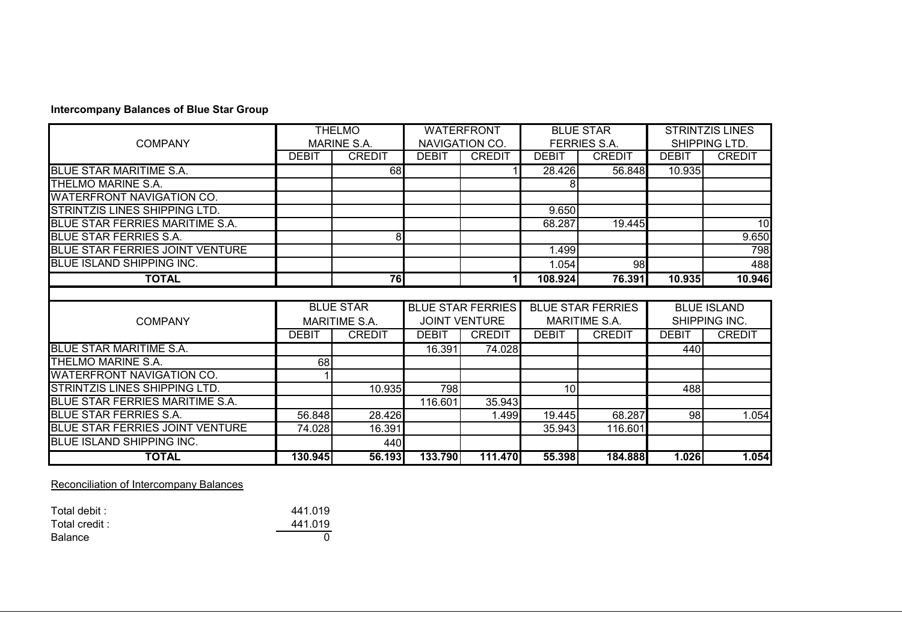#### **Intercompany Balances of Blue Star Group**

|                                      |              | <b>THELMO</b>        |              | <b>WATERFRONT</b>        |              | <b>BLUE STAR</b>         |              | <b>STRINTZIS LINES</b> |
|--------------------------------------|--------------|----------------------|--------------|--------------------------|--------------|--------------------------|--------------|------------------------|
| <b>COMPANY</b>                       |              | <b>MARINE S.A.</b>   |              | NAVIGATION CO.           |              | <b>FERRIES S.A.</b>      |              | SHIPPING LTD.          |
|                                      | <b>DEBIT</b> | <b>CREDIT</b>        | <b>DEBIT</b> | <b>CREDIT</b>            | <b>DEBIT</b> | <b>CREDIT</b>            | <b>DEBIT</b> | <b>CREDIT</b>          |
| BLUE STAR MARITIME S.A.              |              | 68                   |              |                          | 28.426       | 56.848                   | 10.935       |                        |
| THELMO MARINE S.A.                   |              |                      |              |                          |              |                          |              |                        |
| <b>WATERFRONT NAVIGATION CO.</b>     |              |                      |              |                          |              |                          |              |                        |
| <b>STRINTZIS LINES SHIPPING LTD.</b> |              |                      |              |                          | 9.650        |                          |              |                        |
| BLUE STAR FERRIES MARITIME S.A.      |              |                      |              |                          | 68.287       | 19.445                   |              | 10                     |
| <b>BLUE STAR FERRIES S.A.</b>        |              | 8                    |              |                          |              |                          |              | 9.650                  |
| BLUE STAR FERRIES JOINT VENTURE      |              |                      |              |                          | 1.499        |                          |              | 798                    |
| <b>BLUE ISLAND SHIPPING INC.</b>     |              |                      |              |                          | 1.054        | 98                       |              | 488                    |
| <b>TOTAL</b>                         |              | 76                   |              |                          | 108.924      | 76.391                   | 10.935       | 10.946                 |
|                                      |              |                      |              |                          |              |                          |              |                        |
|                                      |              |                      |              |                          |              |                          |              |                        |
|                                      |              | <b>BLUE STAR</b>     |              | <b>BLUE STAR FERRIES</b> |              | <b>BLUE STAR FERRIES</b> |              | <b>BLUE ISLAND</b>     |
| <b>COMPANY</b>                       |              | <b>MARITIME S.A.</b> |              | <b>JOINT VENTURE</b>     |              | MARITIME S.A.            |              | SHIPPING INC.          |
|                                      | <b>DEBIT</b> | <b>CREDIT</b>        | <b>DEBIT</b> | <b>CREDIT</b>            | <b>DEBIT</b> | <b>CREDIT</b>            | <b>DEBIT</b> | <b>CREDIT</b>          |
| <b>BLUE STAR MARITIME S.A.</b>       |              |                      | 16.391       | 74.028                   |              |                          | 440          |                        |
| THELMO MARINE S.A.                   | 68           |                      |              |                          |              |                          |              |                        |
| WATERFRONT NAVIGATION CO.            |              |                      |              |                          |              |                          |              |                        |
| STRINTZIS LINES SHIPPING LTD.        |              | 10.935               | 798          |                          | 10           |                          | 488          |                        |
| BLUE STAR FERRIES MARITIME S.A.      |              |                      | 116.601      | 35.943                   |              |                          |              |                        |
| <b>BLUE STAR FERRIES S.A.</b>        | 56.848       | 28.426               |              | 1.499                    | 19.445       | 68.287                   | 98           | 1.054                  |
| BLUE STAR FERRIES JOINT VENTURE      | 74.028       | 16.391               |              |                          | 35.943       | 116.601                  |              |                        |
| <b>BLUE ISLAND SHIPPING INC.</b>     |              | 440                  |              |                          |              |                          |              |                        |

Reconciliation of Intercompany Balances

| Total debit:  | 441.019 |
|---------------|---------|
| Total credit: | 441.019 |
| Balance       |         |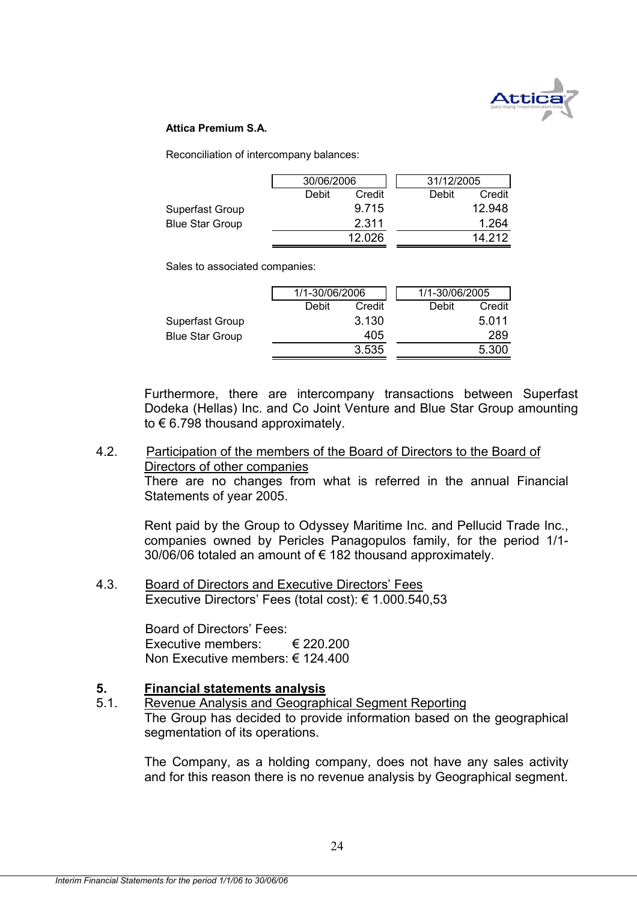

#### **Attica Premium S.A.**

Reconciliation of intercompany balances:

|                        | 30/06/2006 |        | 31/12/2005 |        |
|------------------------|------------|--------|------------|--------|
|                        | Debit      | Credit | Debit      | Credit |
| Superfast Group        |            | 9.715  |            | 12.948 |
| <b>Blue Star Group</b> |            | 2.311  |            | 1.264  |
|                        |            | 12.026 |            | 14 212 |

Sales to associated companies:

|                        | 1/1-30/06/2006 |        | 1/1-30/06/2005 |        |
|------------------------|----------------|--------|----------------|--------|
|                        | Debit          | Credit | Debit          | Credit |
| Superfast Group        |                | 3.130  |                | 5.011  |
| <b>Blue Star Group</b> |                | 405    |                | 289    |
|                        |                | 3.535  |                | 5.300  |

Furthermore, there are intercompany transactions between Superfast Dodeka (Hellas) Inc. and Co Joint Venture and Blue Star Group amounting to € 6.798 thousand approximately.

#### 4.2. Participation of the members of the Board of Directors to the Board of Directors of other companies

There are no changes from what is referred in the annual Financial Statements of year 2005.

Rent paid by the Group to Odyssey Maritime Inc. and Pellucid Trade Inc., companies owned by Pericles Panagopulos family, for the period 1/1- 30/06/06 totaled an amount of  $\epsilon$  182 thousand approximately.

4.3. Board of Directors and Executive Directors' Fees Executive Directors' Fees (total cost): € 1.000.540,53

> Board of Directors' Fees: Executive members: € 220.200 Non Executive members: € 124.400

#### **5. Financial statements analysis**

5.1. Revenue Analysis and Geographical Segment Reporting

The Group has decided to provide information based on the geographical segmentation of its operations.

The Company, as a holding company, does not have any sales activity and for this reason there is no revenue analysis by Geographical segment.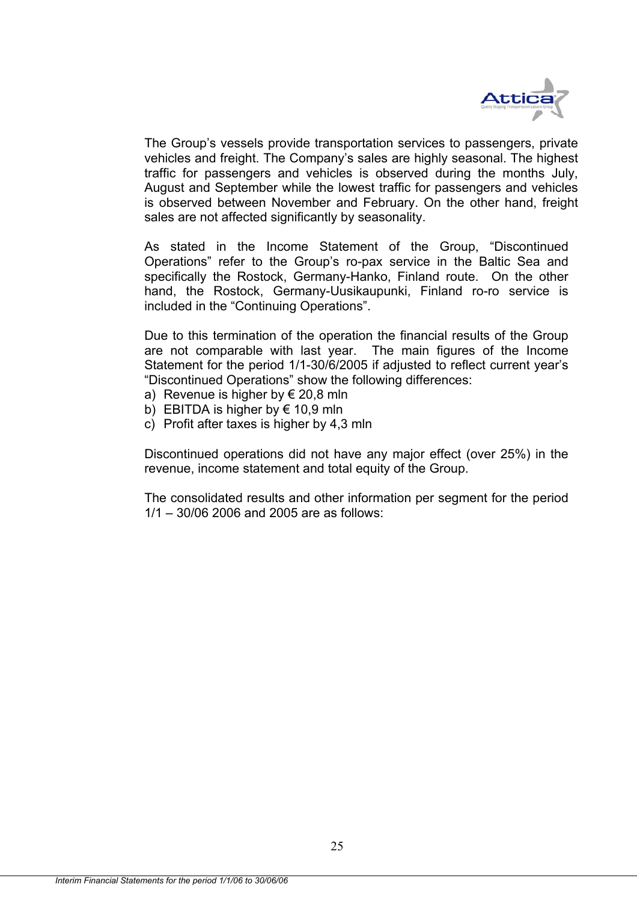

The Group's vessels provide transportation services to passengers, private vehicles and freight. The Company's sales are highly seasonal. The highest traffic for passengers and vehicles is observed during the months July, August and September while the lowest traffic for passengers and vehicles is observed between November and February. On the other hand, freight sales are not affected significantly by seasonality.

As stated in the Income Statement of the Group, "Discontinued Operations" refer to the Group's ro-pax service in the Baltic Sea and specifically the Rostock, Germany-Hanko, Finland route. On the other hand, the Rostock, Germany-Uusikaupunki, Finland ro-ro service is included in the "Continuing Operations".

Due to this termination of the operation the financial results of the Group are not comparable with last year. The main figures of the Income Statement for the period 1/1-30/6/2005 if adjusted to reflect current year's "Discontinued Operations" show the following differences:

- a) Revenue is higher by  $\epsilon$  20,8 mln
- b) EBITDA is higher by  $\epsilon$  10,9 mln
- c) Profit after taxes is higher by 4,3 mln

Discontinued operations did not have any major effect (over 25%) in the revenue, income statement and total equity of the Group.

The consolidated results and other information per segment for the period 1/1 – 30/06 2006 and 2005 are as follows: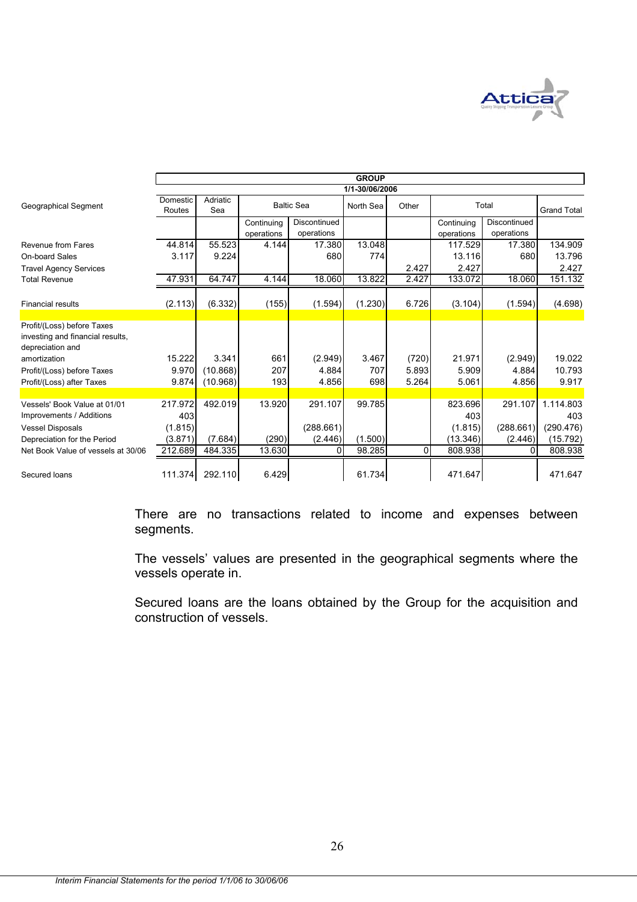

|                                                                                    |                    |                 |                          |                            | <b>GROUP</b>   |          |                          |                            |                    |
|------------------------------------------------------------------------------------|--------------------|-----------------|--------------------------|----------------------------|----------------|----------|--------------------------|----------------------------|--------------------|
|                                                                                    |                    |                 |                          |                            | 1/1-30/06/2006 |          |                          |                            |                    |
| Geographical Segment                                                               | Domestic<br>Routes | Adriatic<br>Sea |                          | <b>Baltic Sea</b>          | North Sea      | Other    |                          | Total                      | <b>Grand Total</b> |
|                                                                                    |                    |                 | Continuing<br>operations | Discontinued<br>operations |                |          | Continuing<br>operations | Discontinued<br>operations |                    |
| Revenue from Fares                                                                 | 44.814             | 55.523          | 4.144                    | 17.380                     | 13.048         |          | 117.529                  | 17.380                     | 134.909            |
| On-board Sales                                                                     | 3.117              | 9.224           |                          | 680                        | 774            |          | 13.116                   | 680                        | 13.796             |
| <b>Travel Agency Services</b>                                                      |                    |                 |                          |                            |                | 2.427    | 2.427                    |                            | 2.427              |
| <b>Total Revenue</b>                                                               | 47.931             | 64.747          | 4.144                    | 18.060                     | 13.822         | 2.427    | 133.072                  | 18.060                     | 151.132            |
| <b>Financial results</b>                                                           | (2.113)            | (6.332)         | (155)                    | (1.594)                    | (1.230)        | 6.726    | (3.104)                  | (1.594)                    | (4.698)            |
|                                                                                    |                    |                 |                          |                            |                |          |                          |                            |                    |
| Profit/(Loss) before Taxes<br>investing and financial results,<br>depreciation and |                    |                 |                          |                            |                |          |                          |                            |                    |
| amortization                                                                       | 15.222             | 3.341           | 661                      | (2.949)                    | 3.467          | (720)    | 21.971                   | (2.949)                    | 19.022             |
| Profit/(Loss) before Taxes                                                         | 9.970              | (10.868)        | 207                      | 4.884                      | 707            | 5.893    | 5.909                    | 4.884                      | 10.793             |
| Profit/(Loss) after Taxes                                                          | 9.874              | (10.968)        | 193                      | 4.856                      | 698            | 5.264    | 5.061                    | 4.856                      | 9.917              |
|                                                                                    |                    |                 |                          |                            |                |          |                          |                            |                    |
| Vessels' Book Value at 01/01                                                       | 217.972            | 492.019         | 13.920                   | 291.107                    | 99.785         |          | 823.696                  | 291.107                    | 1.114.803          |
| Improvements / Additions                                                           | 403                |                 |                          |                            |                |          | 403                      |                            | 403                |
| <b>Vessel Disposals</b>                                                            | (1.815)            |                 |                          | (288.661)                  |                |          | (1.815)                  | (288.661)                  | (290.476)          |
| Depreciation for the Period                                                        | (3.871)            | (7.684)         | (290)                    | (2.446)                    | (1.500)        |          | (13.346)                 | (2.446)                    | (15.792)           |
| Net Book Value of vessels at 30/06                                                 | 212.689            | 484.335         | 13.630                   | 0                          | 98.285         | $\Omega$ | 808.938                  | $\Omega$                   | 808.938            |
| Secured loans                                                                      | 111.374            | 292.110         | 6.429                    |                            | 61.734         |          | 471.647                  |                            | 471.647            |

There are no transactions related to income and expenses between segments.

The vessels' values are presented in the geographical segments where the vessels operate in.

Secured loans are the loans obtained by the Group for the acquisition and construction of vessels.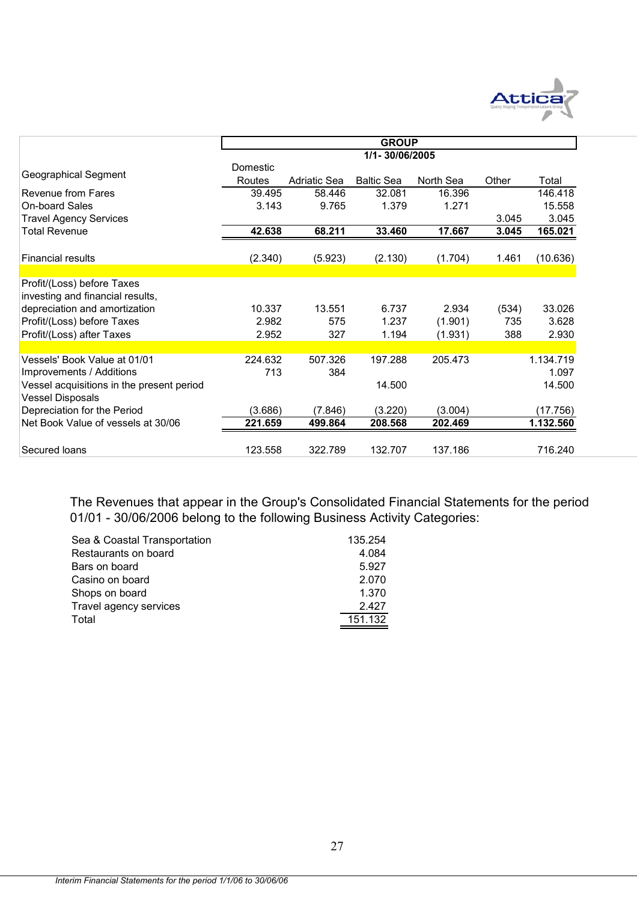

|                                                                      |                    |              | <b>GROUP</b>      |           |       |           |
|----------------------------------------------------------------------|--------------------|--------------|-------------------|-----------|-------|-----------|
|                                                                      |                    |              | 1/1-30/06/2005    |           |       |           |
| Geographical Segment                                                 | Domestic<br>Routes | Adriatic Sea | <b>Baltic Sea</b> | North Sea | Other | Total     |
| Revenue from Fares                                                   | 39.495             | 58.446       | 32.081            | 16.396    |       | 146.418   |
| <b>On-board Sales</b>                                                | 3.143              | 9.765        | 1.379             | 1.271     |       | 15.558    |
| <b>Travel Agency Services</b>                                        |                    |              |                   |           | 3.045 | 3.045     |
| <b>Total Revenue</b>                                                 | 42.638             | 68.211       | 33.460            | 17.667    | 3.045 | 165.021   |
| <b>Financial results</b>                                             | (2.340)            | (5.923)      | (2.130)           | (1.704)   | 1.461 | (10.636)  |
|                                                                      |                    |              |                   |           |       |           |
| Profit/(Loss) before Taxes<br>investing and financial results,       |                    |              |                   |           |       |           |
| depreciation and amortization                                        | 10.337             | 13.551       | 6.737             | 2.934     | (534) | 33.026    |
| Profit/(Loss) before Taxes                                           | 2.982              | 575          | 1.237             | (1.901)   | 735   | 3.628     |
| Profit/(Loss) after Taxes                                            | 2.952              | 327          | 1.194             | (1.931)   | 388   | 2.930     |
|                                                                      |                    |              |                   |           |       |           |
| Vessels' Book Value at 01/01                                         | 224.632            | 507.326      | 197.288           | 205.473   |       | 1.134.719 |
| Improvements / Additions                                             | 713                | 384          |                   |           |       | 1.097     |
| Vessel acquisitions in the present period<br><b>Vessel Disposals</b> |                    |              | 14.500            |           |       | 14.500    |
| Depreciation for the Period                                          | (3.686)            | (7.846)      | (3.220)           | (3.004)   |       | (17.756)  |
| Net Book Value of vessels at 30/06                                   | 221.659            | 499.864      | 208.568           | 202.469   |       | 1.132.560 |
| Secured loans                                                        | 123.558            | 322.789      | 132.707           | 137.186   |       | 716.240   |

The Revenues that appear in the Group's Consolidated Financial Statements for the period 01/01 - 30/06/2006 belong to the following Business Activity Categories:

| Sea & Coastal Transportation | 135.254 |
|------------------------------|---------|
| Restaurants on board         | 4.084   |
| Bars on board                | 5.927   |
| Casino on board              | 2.070   |
| Shops on board               | 1.370   |
| Travel agency services       | 2.427   |
| Total                        | 151.132 |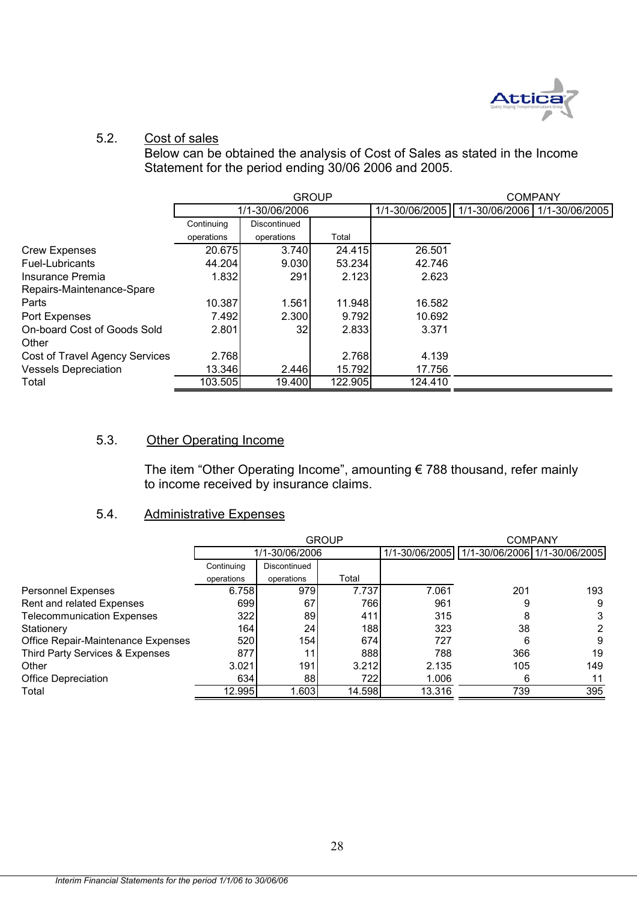

# 5.2. Cost of sales

Below can be obtained the analysis of Cost of Sales as stated in the Income Statement for the period ending 30/06 2006 and 2005.

|                                       |            |                | <b>GROUP</b> |         |                                                  | <b>COMPANY</b> |
|---------------------------------------|------------|----------------|--------------|---------|--------------------------------------------------|----------------|
|                                       |            | 1/1-30/06/2006 |              |         | 1/1-30/06/2005   1/1-30/06/2006   1/1-30/06/2005 |                |
|                                       | Continuing | Discontinued   |              |         |                                                  |                |
|                                       | operations | operations     | Total        |         |                                                  |                |
| <b>Crew Expenses</b>                  | 20.675     | 3.740          | 24.415       | 26.501  |                                                  |                |
| Fuel-Lubricants                       | 44.204     | 9.030          | 53.234       | 42.746  |                                                  |                |
| Insurance Premia                      | 1.832      | 291            | 2.123        | 2.623   |                                                  |                |
| Repairs-Maintenance-Spare             |            |                |              |         |                                                  |                |
| Parts                                 | 10.387     | 1.561          | 11.948       | 16.582  |                                                  |                |
| Port Expenses                         | 7.492      | 2.300          | 9.792        | 10.692  |                                                  |                |
| On-board Cost of Goods Sold           | 2.801      | 32             | 2.833        | 3.371   |                                                  |                |
| Other                                 |            |                |              |         |                                                  |                |
| <b>Cost of Travel Agency Services</b> | 2.768      |                | 2.768        | 4.139   |                                                  |                |
| <b>Vessels Depreciation</b>           | 13.346     | 2.446          | 15.792       | 17.756  |                                                  |                |
| Total                                 | 103.505    | 19.400         | 122.905      | 124.410 |                                                  |                |

#### 5.3. Other Operating Income

The item "Other Operating Income", amounting € 788 thousand, refer mainly to income received by insurance claims.

## 5.4. Administrative Expenses

|                                    |            |                | <b>GROUP</b> |        | <b>COMPANY</b>                                   |     |  |
|------------------------------------|------------|----------------|--------------|--------|--------------------------------------------------|-----|--|
|                                    |            | 1/1-30/06/2006 |              |        | 1/1-30/06/2005   1/1-30/06/2006   1/1-30/06/2005 |     |  |
|                                    | Continuing | Discontinued   |              |        |                                                  |     |  |
|                                    | operations | operations     | Total        |        |                                                  |     |  |
| <b>Personnel Expenses</b>          | 6.758      | 979            | 7.737        | 7.061  | 201                                              | 193 |  |
| Rent and related Expenses          | 699        | 67             | 7661         | 961    | 9                                                | 9   |  |
| <b>Telecommunication Expenses</b>  | 322        | 89             | 411          | 315    | 8                                                | 3   |  |
| Stationery                         | 164        | 24             | 188          | 323    | 38                                               | 2   |  |
| Office Repair-Maintenance Expenses | 520        | 154 l          | 674          | 727    | 6                                                | 9   |  |
| Third Party Services & Expenses    | 877        |                | 888          | 788    | 366                                              | 19  |  |
| Other                              | 3.021      | 191            | 3.212        | 2.135  | 105                                              | 149 |  |
| Office Depreciation                | 634        | 88             | 722          | 1.006  | 6                                                | 11  |  |
| Total                              | 12.995     | .603           | 14.598       | 13.316 | 739                                              | 395 |  |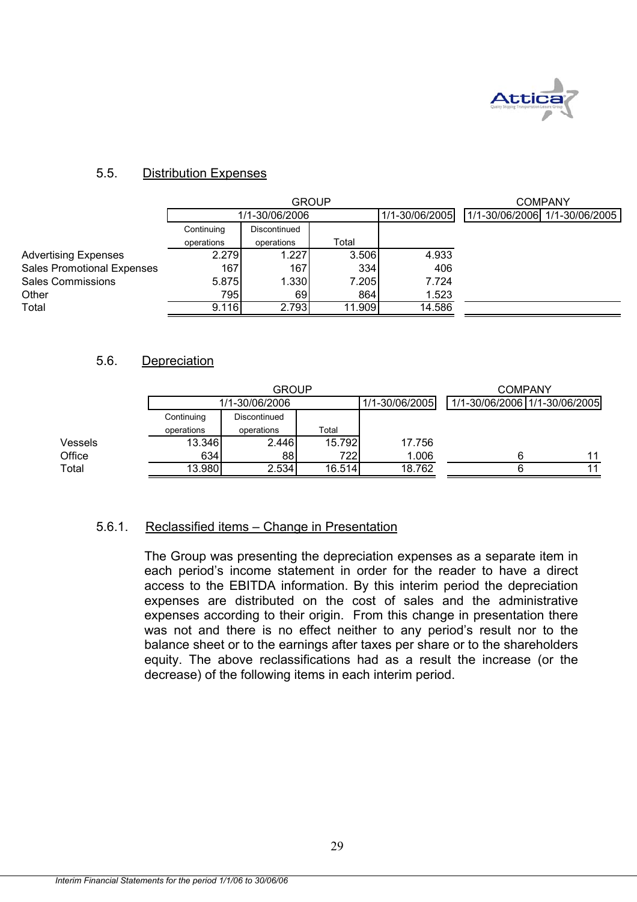

#### 5.5. Distribution Expenses

|                                   |            | <b>GROUP</b>   | <b>COMPANY</b> |                |                                |
|-----------------------------------|------------|----------------|----------------|----------------|--------------------------------|
|                                   |            | 1/1-30/06/2006 |                | 1/1-30/06/2005 | 1/1-30/06/2006  1/1-30/06/2005 |
|                                   | Continuing | Discontinued   |                |                |                                |
|                                   | operations | operations     | Total          |                |                                |
| <b>Advertising Expenses</b>       | 2.279      | 1.227          | 3.506          | 4.933          |                                |
| <b>Sales Promotional Expenses</b> | 167        | 167            | 334            | 406            |                                |
| <b>Sales Commissions</b>          | 5.875      | 1.330          | 7.205          | 7.724          |                                |
| Other                             | 795        | 69             | 864            | 1.523          |                                |
| Total                             | 9.116      | 2.793          | 11.909         | 14.586         |                                |

### 5.6. Depreciation

|         |            | <b>GROUP</b>   | <b>COMPANY</b> |                |                               |  |
|---------|------------|----------------|----------------|----------------|-------------------------------|--|
|         |            | 1/1-30/06/2006 |                | 1/1-30/06/2005 | 1/1-30/06/2006 1/1-30/06/2005 |  |
|         | Continuing | Discontinued   |                |                |                               |  |
|         | operations | operations     | Total          |                |                               |  |
| Vessels | 13.346     | 2.446          | 15.792         | 17.756         |                               |  |
| Office  | 634        | 88             | 7221           | 1.006          |                               |  |
| Total   | 13.980     | 2.534          | 16.514         | 18.762         |                               |  |

#### 5.6.1. Reclassified items – Change in Presentation

The Group was presenting the depreciation expenses as a separate item in each period's income statement in order for the reader to have a direct access to the EBITDA information. By this interim period the depreciation expenses are distributed on the cost of sales and the administrative expenses according to their origin. From this change in presentation there was not and there is no effect neither to any period's result nor to the balance sheet or to the earnings after taxes per share or to the shareholders equity. The above reclassifications had as a result the increase (or the decrease) of the following items in each interim period.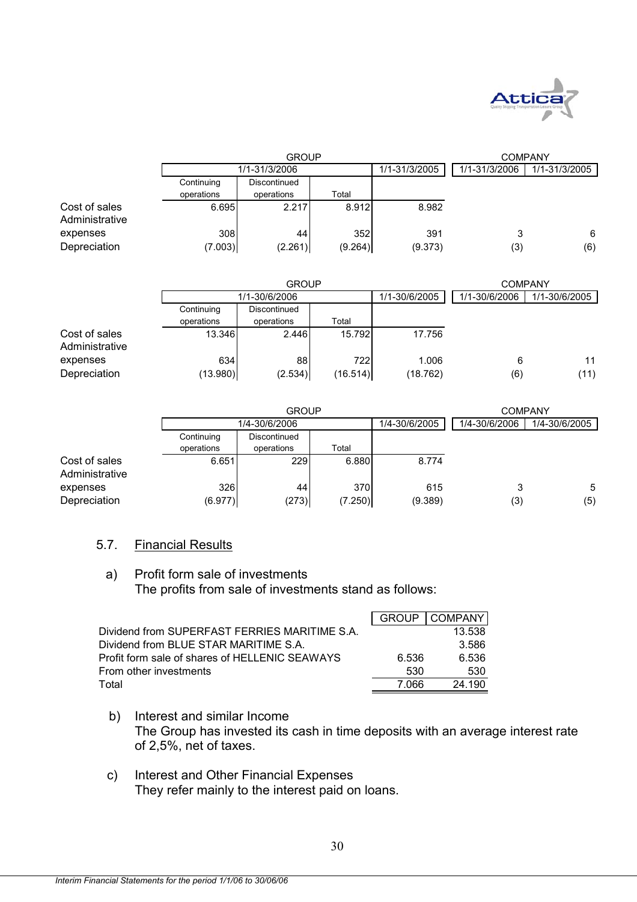

|                                 |            | <b>GROUP</b>  | <b>COMPANY</b> |               |               |               |
|---------------------------------|------------|---------------|----------------|---------------|---------------|---------------|
|                                 |            | 1/1-31/3/2006 |                | 1/1-31/3/2005 | 1/1-31/3/2006 | 1/1-31/3/2005 |
|                                 | Continuing | Discontinued  |                |               |               |               |
|                                 | operations | operations    | Total          |               |               |               |
| Cost of sales<br>Administrative | 6.695      | 2.217         | 8.912          | 8.982         |               |               |
| expenses                        | 308        | 44            | 352            | 391           | 3             | 6             |
| Depreciation                    | (7.003)    | (2.261)       | (9.264)        | (9.373)       | (3)           | (6)           |

|                                 |            | <b>GROUP</b>  | <b>COMPANY</b> |               |               |               |
|---------------------------------|------------|---------------|----------------|---------------|---------------|---------------|
|                                 |            | 1/1-30/6/2006 |                | 1/1-30/6/2005 | 1/1-30/6/2006 | 1/1-30/6/2005 |
|                                 | Continuing | Discontinued  |                |               |               |               |
|                                 | operations | operations    | Total          |               |               |               |
| Cost of sales<br>Administrative | 13.346     | 2.446         | 15.792         | 17.756        |               |               |
| expenses                        | 634        | 88            | 722            | 1.006         | 6             | 11            |
| Depreciation                    | (13.980)   | (2.534)       | (16.514)       | (18.762)      | (6)           | (11)          |

|                                 |            | <b>GROUP</b>  | <b>COMPANY</b> |               |               |               |
|---------------------------------|------------|---------------|----------------|---------------|---------------|---------------|
|                                 |            | 1/4-30/6/2006 |                | 1/4-30/6/2005 | 1/4-30/6/2006 | 1/4-30/6/2005 |
|                                 | Continuing | Discontinued  |                |               |               |               |
|                                 | operations | operations    | Total          |               |               |               |
| Cost of sales<br>Administrative | 6.651      | 229           | 6.880          | 8.774         |               |               |
| expenses                        | 326        | 44            | 370            | 615           | 3             | 5             |
| Depreciation                    | (6.977)    | (273)         | (7.250)        | (9.389)       | (3)           | (5)           |

#### 5.7. Financial Results

#### a) Profit form sale of investments The profits from sale of investments stand as follows:

|                                                | <b>GROUP</b> | <b>COMPANY</b> |
|------------------------------------------------|--------------|----------------|
| Dividend from SUPERFAST FERRIES MARITIME S.A.  |              | 13.538         |
| Dividend from BLUE STAR MARITIME S.A.          |              | 3.586          |
| Profit form sale of shares of HELLENIC SEAWAYS | 6.536        | 6.536          |
| From other investments                         | 530          | 530            |
| Total                                          | 7 066        | 24.190         |

- b) Interest and similar Income The Group has invested its cash in time deposits with an average interest rate of 2,5%, net of taxes.
- c) Interest and Other Financial Expenses They refer mainly to the interest paid on loans.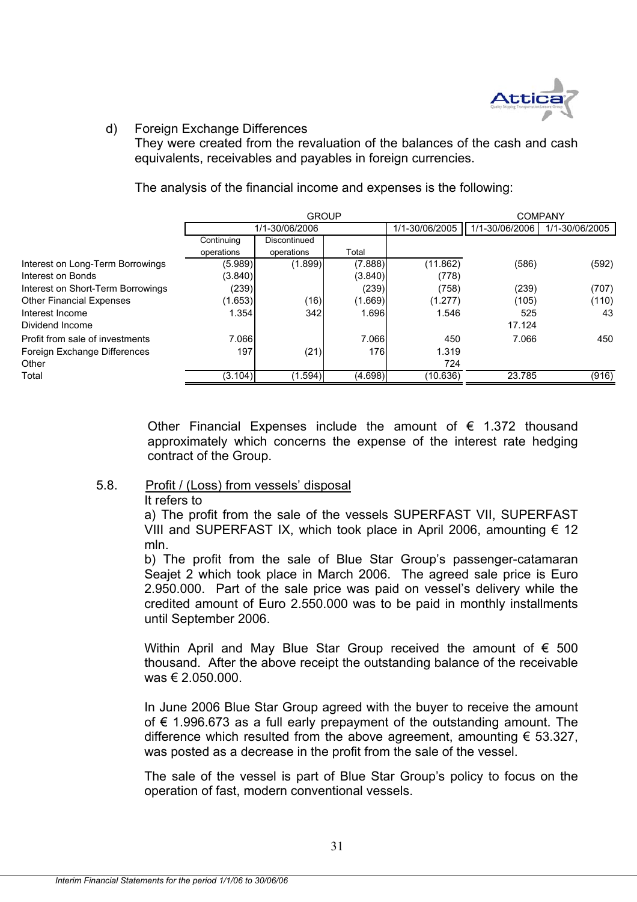

### d) Foreign Exchange Differences

They were created from the revaluation of the balances of the cash and cash equivalents, receivables and payables in foreign currencies.

The analysis of the financial income and expenses is the following:

|                                   |            | <b>GROUP</b>   |         |                |                | <b>COMPANY</b> |  |  |
|-----------------------------------|------------|----------------|---------|----------------|----------------|----------------|--|--|
|                                   |            | 1/1-30/06/2006 |         | 1/1-30/06/2005 | 1/1-30/06/2006 | 1/1-30/06/2005 |  |  |
|                                   | Continuing | Discontinued   |         |                |                |                |  |  |
|                                   | operations | operations     | Total   |                |                |                |  |  |
| Interest on Long-Term Borrowings  | (5.989)    | (1.899)        | (7.888) | (11.862)       | (586)          | (592)          |  |  |
| Interest on Bonds                 | (3.840)    |                | (3.840) | (778)          |                |                |  |  |
| Interest on Short-Term Borrowings | (239)      |                | (239)   | (758)          | (239)          | (707)          |  |  |
| <b>Other Financial Expenses</b>   | (1.653)    | (16)           | (1.669) | (1.277)        | (105)          | (110)          |  |  |
| Interest Income                   | 1.354      | 342            | 1.6961  | 1.546          | 525            | 43             |  |  |
| Dividend Income                   |            |                |         |                | 17.124         |                |  |  |
| Profit from sale of investments   | 7.066      |                | 7.066   | 450            | 7.066          | 450            |  |  |
| Foreign Exchange Differences      | 197        | (21)           | 176     | 1.319          |                |                |  |  |
| Other                             |            |                |         | 724            |                |                |  |  |
| Total                             | (3.104)    | (1.594)        | (4.698) | (10.636)       | 23.785         | (916)          |  |  |

Other Financial Expenses include the amount of  $\epsilon$  1.372 thousand approximately which concerns the expense of the interest rate hedging contract of the Group.

# 5.8. Profit / (Loss) from vessels' disposal

It refers to

a) The profit from the sale of the vessels SUPERFAST VII, SUPERFAST VIII and SUPERFAST IX, which took place in April 2006, amounting  $\epsilon$  12 mln.

b) The profit from the sale of Blue Star Group's passenger-catamaran Seajet 2 which took place in March 2006. The agreed sale price is Euro 2.950.000. Part of the sale price was paid on vessel's delivery while the credited amount of Euro 2.550.000 was to be paid in monthly installments until September 2006.

Within April and May Blue Star Group received the amount of  $\epsilon$  500 thousand. After the above receipt the outstanding balance of the receivable  $was € 2,050,000$ .

In June 2006 Blue Star Group agreed with the buyer to receive the amount of  $€$  1.996.673 as a full early prepayment of the outstanding amount. The difference which resulted from the above agreement, amounting  $\epsilon$  53.327, was posted as a decrease in the profit from the sale of the vessel.

The sale of the vessel is part of Blue Star Group's policy to focus on the operation of fast, modern conventional vessels.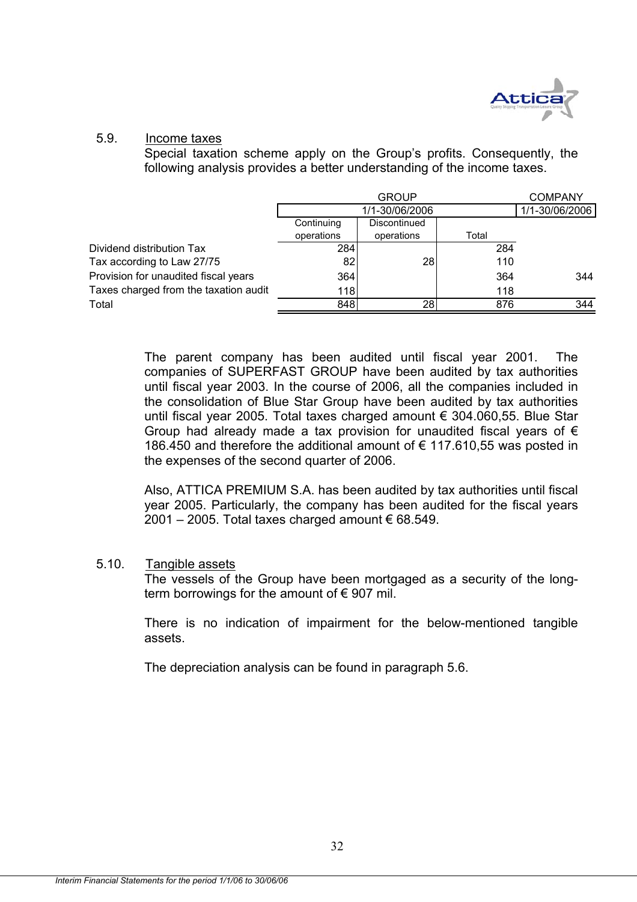

#### 5.9. Income taxes

Special taxation scheme apply on the Group's profits. Consequently, the following analysis provides a better understanding of the income taxes.

|                                       |            | <b>GROUP</b>   |       |     |  |  |  |
|---------------------------------------|------------|----------------|-------|-----|--|--|--|
|                                       |            | 1/1-30/06/2006 |       |     |  |  |  |
|                                       | Continuing | Discontinued   |       |     |  |  |  |
|                                       | operations | operations     | Total |     |  |  |  |
| Dividend distribution Tax             | 284        |                | 284   |     |  |  |  |
| Tax according to Law 27/75            | 82         | 28             | 110   |     |  |  |  |
| Provision for unaudited fiscal years  | 364        |                | 364   | 344 |  |  |  |
| Taxes charged from the taxation audit | 118        |                | 118   |     |  |  |  |
| Total                                 | 848        | 28             | 876   | 344 |  |  |  |

The parent company has been audited until fiscal year 2001. The companies of SUPERFAST GROUP have been audited by tax authorities until fiscal year 2003. In the course of 2006, all the companies included in the consolidation of Blue Star Group have been audited by tax authorities until fiscal year 2005. Total taxes charged amount € 304.060,55. Blue Star Group had already made a tax provision for unaudited fiscal years of  $\epsilon$ 186.450 and therefore the additional amount of € 117.610,55 was posted in the expenses of the second quarter of 2006.

Also, ATTICA PREMIUM S.A. has been audited by tax authorities until fiscal year 2005. Particularly, the company has been audited for the fiscal years 2001 – 2005. Total taxes charged amount € 68.549.

#### 5.10. Tangible assets

The vessels of the Group have been mortgaged as a security of the longterm borrowings for the amount of  $\epsilon$  907 mil.

There is no indication of impairment for the below-mentioned tangible assets.

The depreciation analysis can be found in paragraph 5.6.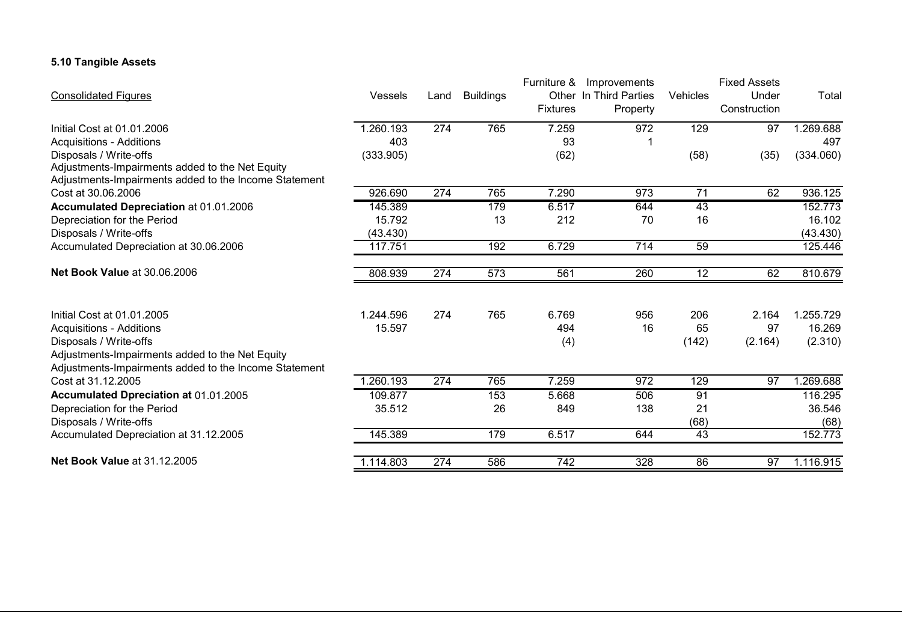#### **5.10 Tangible Assets**

|                                                       |                |                  |                  |                 | Furniture & Improvements |                 | <b>Fixed Assets</b> |           |
|-------------------------------------------------------|----------------|------------------|------------------|-----------------|--------------------------|-----------------|---------------------|-----------|
| <b>Consolidated Figures</b>                           | <b>Vessels</b> | Land             | <b>Buildings</b> |                 | Other In Third Parties   | Vehicles        | Under               | Total     |
|                                                       |                |                  |                  | <b>Fixtures</b> | Property                 |                 | Construction        |           |
| Initial Cost at 01.01.2006                            | 1.260.193      | 274              | 765              | 7.259           | 972                      | 129             | 97                  | 1.269.688 |
| <b>Acquisitions - Additions</b>                       | 403            |                  |                  | 93              |                          |                 |                     | 497       |
| Disposals / Write-offs                                | (333.905)      |                  |                  | (62)            |                          | (58)            | (35)                | (334.060) |
| Adjustments-Impairments added to the Net Equity       |                |                  |                  |                 |                          |                 |                     |           |
| Adjustments-Impairments added to the Income Statement |                |                  |                  |                 |                          |                 |                     |           |
| Cost at 30.06.2006                                    | 926.690        | 274              | 765              | 7.290           | 973                      | $\overline{71}$ | 62                  | 936.125   |
| Accumulated Depreciation at 01.01.2006                | 145.389        |                  | 179              | 6.517           | 644                      | 43              |                     | 152.773   |
| Depreciation for the Period                           | 15.792         |                  | 13               | 212             | 70                       | 16              |                     | 16.102    |
| Disposals / Write-offs                                | (43.430)       |                  |                  |                 |                          |                 |                     | (43.430)  |
| Accumulated Depreciation at 30.06.2006                | 117.751        |                  | 192              | 6.729           | 714                      | 59              |                     | 125.446   |
| <b>Net Book Value at 30.06.2006</b>                   | 808.939        | 274              | 573              | 561             | 260                      | 12              | 62                  | 810.679   |
| Initial Cost at 01.01.2005                            | 1.244.596      | 274              | 765              | 6.769           | 956                      | 206             | 2.164               | 1.255.729 |
| <b>Acquisitions - Additions</b>                       | 15.597         |                  |                  | 494             | 16                       | 65              | 97                  | 16.269    |
| Disposals / Write-offs                                |                |                  |                  | (4)             |                          | (142)           | (2.164)             | (2.310)   |
| Adjustments-Impairments added to the Net Equity       |                |                  |                  |                 |                          |                 |                     |           |
| Adjustments-Impairments added to the Income Statement |                |                  |                  |                 |                          |                 |                     |           |
| Cost at 31.12.2005                                    | 1.260.193      | $\overline{274}$ | 765              | 7.259           | $\overline{972}$         | 129             | 97                  | 1.269.688 |
| Accumulated Dpreciation at 01.01.2005                 | 109.877        |                  | 153              | 5.668           | 506                      | 91              |                     | 116.295   |
| Depreciation for the Period                           | 35.512         |                  | 26               | 849             | 138                      | 21              |                     | 36.546    |
| Disposals / Write-offs                                |                |                  |                  |                 |                          | (68)            |                     | (68)      |
| Accumulated Depreciation at 31.12.2005                | 145.389        |                  | 179              | 6.517           | 644                      | 43              |                     | 152.773   |
| Net Book Value at 31.12.2005                          | 1.114.803      | 274              | 586              | 742             | 328                      | 86              | 97                  | 1.116.915 |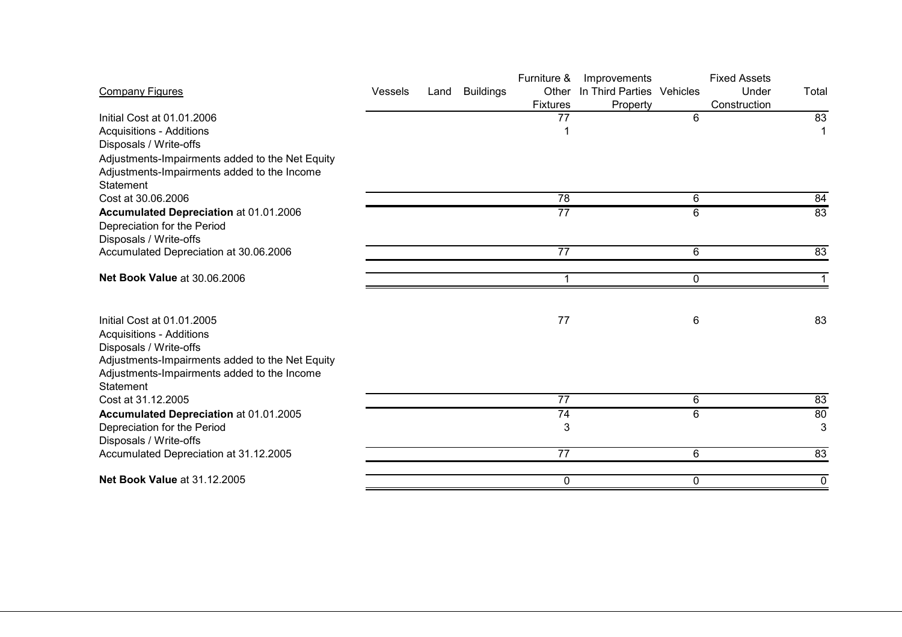|                                                 |                |      |                  | Furniture &     | Improvements              |   | <b>Fixed Assets</b> |             |
|-------------------------------------------------|----------------|------|------------------|-----------------|---------------------------|---|---------------------|-------------|
| <b>Company Figures</b>                          | <b>Vessels</b> | Land | <b>Buildings</b> | Other           | In Third Parties Vehicles |   | Under               | Total       |
|                                                 |                |      |                  | <b>Fixtures</b> | Property                  |   | Construction        |             |
| Initial Cost at 01.01.2006                      |                |      |                  | $\overline{77}$ |                           | 6 |                     | 83          |
| <b>Acquisitions - Additions</b>                 |                |      |                  |                 |                           |   |                     | 1           |
| Disposals / Write-offs                          |                |      |                  |                 |                           |   |                     |             |
| Adjustments-Impairments added to the Net Equity |                |      |                  |                 |                           |   |                     |             |
| Adjustments-Impairments added to the Income     |                |      |                  |                 |                           |   |                     |             |
| Statement                                       |                |      |                  |                 |                           |   |                     |             |
| Cost at 30.06.2006                              |                |      |                  | 78              |                           | 6 |                     | 84          |
| Accumulated Depreciation at 01.01.2006          |                |      |                  | $\overline{77}$ |                           | 6 |                     | 83          |
| Depreciation for the Period                     |                |      |                  |                 |                           |   |                     |             |
| Disposals / Write-offs                          |                |      |                  |                 |                           |   |                     |             |
| Accumulated Depreciation at 30.06.2006          |                |      |                  | $\overline{77}$ |                           | 6 |                     | 83          |
| Net Book Value at 30.06.2006                    |                |      |                  | 1               |                           | 0 |                     | $\mathbf 1$ |
|                                                 |                |      |                  |                 |                           |   |                     |             |
|                                                 |                |      |                  |                 |                           |   |                     |             |
| Initial Cost at 01.01.2005                      |                |      |                  | 77              |                           | 6 |                     | 83          |
| <b>Acquisitions - Additions</b>                 |                |      |                  |                 |                           |   |                     |             |
| Disposals / Write-offs                          |                |      |                  |                 |                           |   |                     |             |
| Adjustments-Impairments added to the Net Equity |                |      |                  |                 |                           |   |                     |             |
| Adjustments-Impairments added to the Income     |                |      |                  |                 |                           |   |                     |             |
| Statement                                       |                |      |                  |                 |                           |   |                     |             |
| Cost at 31.12.2005                              |                |      |                  | 77              |                           | 6 |                     | 83          |
| Accumulated Depreciation at 01.01.2005          |                |      |                  | 74              |                           | 6 |                     | 80          |
| Depreciation for the Period                     |                |      |                  | 3               |                           |   |                     | 3           |
| Disposals / Write-offs                          |                |      |                  |                 |                           |   |                     |             |
| Accumulated Depreciation at 31.12.2005          |                |      |                  | $\overline{77}$ |                           | 6 |                     | 83          |
| Net Book Value at 31.12.2005                    |                |      |                  | 0               |                           | 0 |                     | 0           |
|                                                 |                |      |                  |                 |                           |   |                     |             |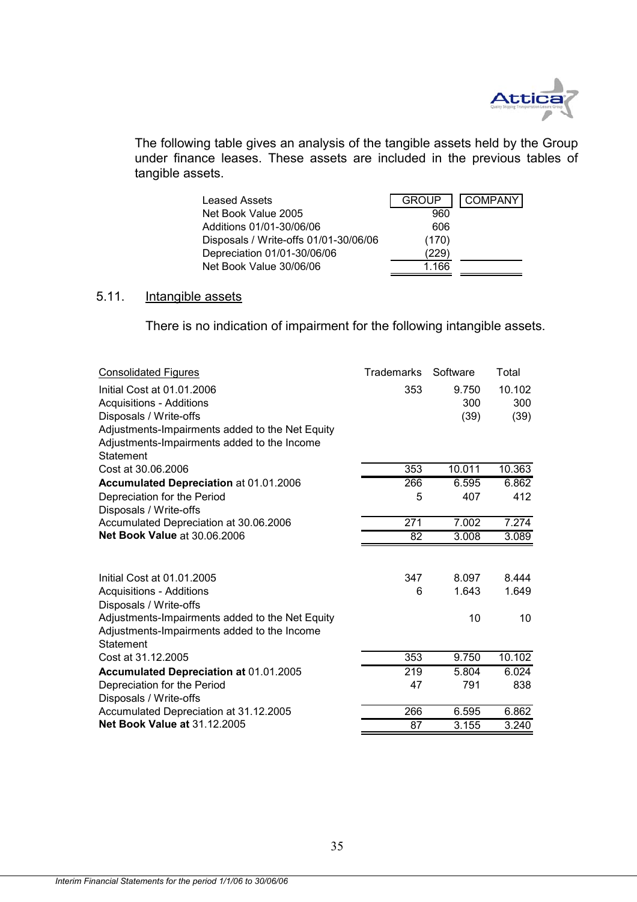

The following table gives an analysis of the tangible assets held by the Group under finance leases. These assets are included in the previous tables of tangible assets.

| <b>Leased Assets</b>                  | <b>GROUP</b> | COMPANY |
|---------------------------------------|--------------|---------|
| Net Book Value 2005                   | 960          |         |
| Additions 01/01-30/06/06              | 606          |         |
| Disposals / Write-offs 01/01-30/06/06 | (170)        |         |
| Depreciation 01/01-30/06/06           | 229)         |         |
| Net Book Value 30/06/06               | 1.166        |         |

# 5.11. Intangible assets

There is no indication of impairment for the following intangible assets.

| <b>Consolidated Figures</b>                     | <b>Trademarks</b> | Software | Total  |
|-------------------------------------------------|-------------------|----------|--------|
| Initial Cost at 01.01.2006                      | 353               | 9.750    | 10.102 |
| <b>Acquisitions - Additions</b>                 |                   | 300      | 300    |
| Disposals / Write-offs                          |                   | (39)     | (39)   |
| Adjustments-Impairments added to the Net Equity |                   |          |        |
| Adjustments-Impairments added to the Income     |                   |          |        |
| <b>Statement</b>                                |                   |          |        |
| Cost at 30.06.2006                              | 353               | 10.011   | 10.363 |
| Accumulated Depreciation at 01.01.2006          | 266               | 6.595    | 6.862  |
| Depreciation for the Period                     | 5                 | 407      | 412    |
| Disposals / Write-offs                          |                   |          |        |
| Accumulated Depreciation at 30.06.2006          | 271               | 7.002    | 7.274  |
| <b>Net Book Value at 30.06.2006</b>             | 82                | 3.008    | 3.089  |
|                                                 |                   |          |        |
| Initial Cost at 01.01.2005                      | 347               | 8.097    | 8.444  |
| <b>Acquisitions - Additions</b>                 | 6                 | 1.643    | 1.649  |
| Disposals / Write-offs                          |                   |          |        |
| Adjustments-Impairments added to the Net Equity |                   | 10       | 10     |
| Adjustments-Impairments added to the Income     |                   |          |        |
| Statement                                       |                   |          |        |
| Cost at 31.12.2005                              | 353               | 9.750    | 10.102 |
| Accumulated Depreciation at 01.01.2005          | 219               | 5.804    | 6.024  |
| Depreciation for the Period                     | 47                | 791      | 838    |
| Disposals / Write-offs                          |                   |          |        |
| Accumulated Depreciation at 31.12.2005          | 266               | 6.595    | 6.862  |
| <b>Net Book Value at 31.12.2005</b>             | 87                | 3.155    | 3.240  |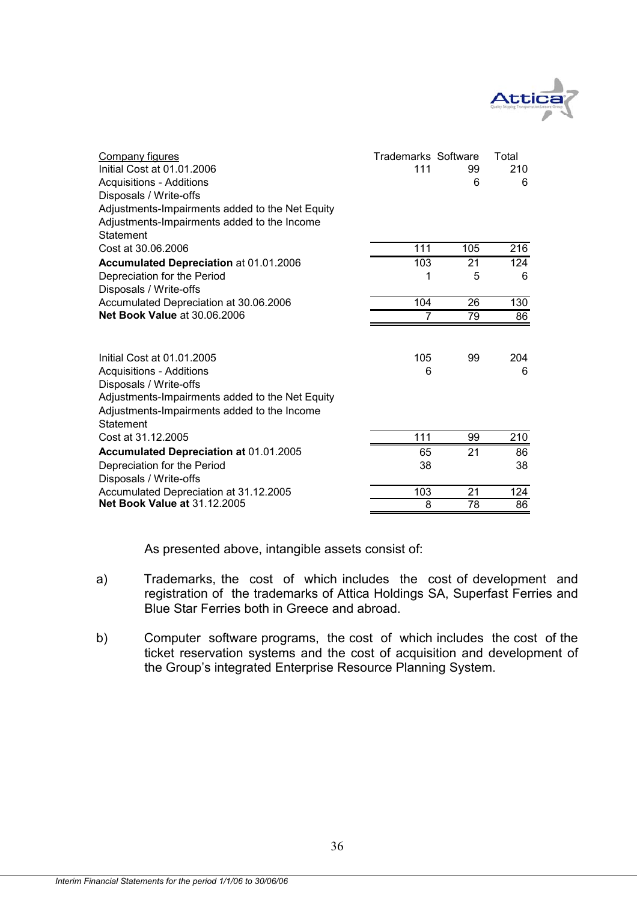

| Company figures<br>Initial Cost at 01.01.2006<br><b>Acquisitions - Additions</b><br>Disposals / Write-offs<br>Adjustments-Impairments added to the Net Equity<br>Adjustments-Impairments added to the Income<br>Statement | <b>Trademarks Software</b><br>111 | 99<br>6 | Total<br>210<br>6 |
|---------------------------------------------------------------------------------------------------------------------------------------------------------------------------------------------------------------------------|-----------------------------------|---------|-------------------|
| Cost at 30.06.2006                                                                                                                                                                                                        | 111                               | 105     | $\overline{216}$  |
| Accumulated Depreciation at 01.01.2006                                                                                                                                                                                    | 103                               | 21      | 124               |
| Depreciation for the Period                                                                                                                                                                                               |                                   | 5       | 6                 |
| Disposals / Write-offs                                                                                                                                                                                                    |                                   |         |                   |
| Accumulated Depreciation at 30.06.2006                                                                                                                                                                                    | 104                               | 26      | 130               |
| <b>Net Book Value at 30.06.2006</b>                                                                                                                                                                                       | 7                                 | 79      | 86                |
| Initial Cost at 01.01.2005<br><b>Acquisitions - Additions</b><br>Disposals / Write-offs<br>Adjustments-Impairments added to the Net Equity<br>Adjustments-Impairments added to the Income<br>Statement                    | 105<br>6                          | 99      | 204<br>6          |
| Cost at 31.12.2005                                                                                                                                                                                                        | 111                               | 99      | 210               |
| Accumulated Depreciation at 01.01.2005                                                                                                                                                                                    | 65                                | 21      | 86                |
| Depreciation for the Period<br>Disposals / Write-offs                                                                                                                                                                     | 38                                |         | 38                |
| Accumulated Depreciation at 31.12.2005                                                                                                                                                                                    | 103                               | 21      | 124               |
| <b>Net Book Value at 31.12.2005</b>                                                                                                                                                                                       | 8                                 | 78      | 86                |

As presented above, intangible assets consist of:

- a) Trademarks, the cost of which includes the cost of development and registration of the trademarks of Attica Holdings SA, Superfast Ferries and Blue Star Ferries both in Greece and abroad.
- b) Computer software programs, the cost of which includes the cost of the ticket reservation systems and the cost of acquisition and development of the Group's integrated Enterprise Resource Planning System.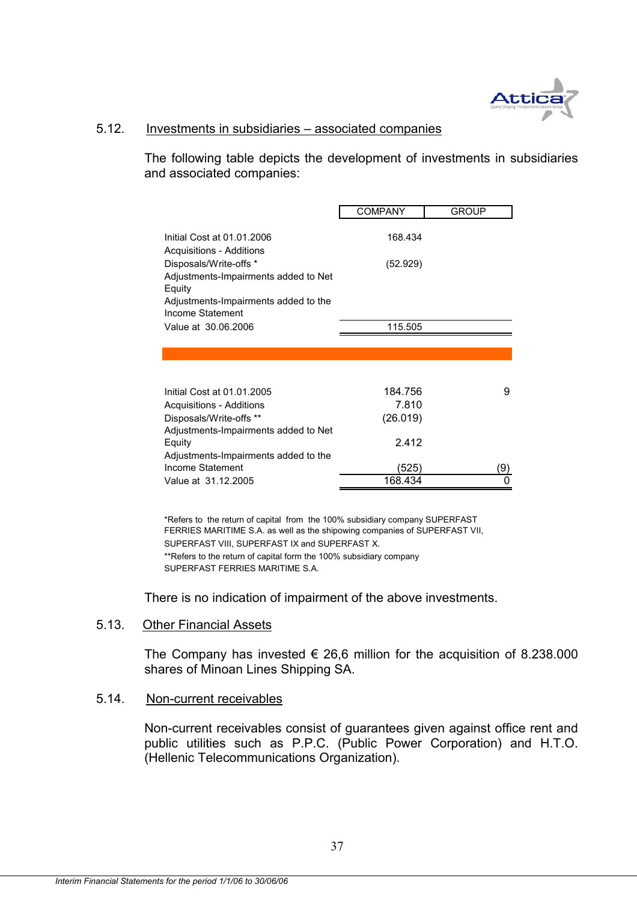

#### 5.12. Investments in subsidiaries – associated companies

The following table depicts the development of investments in subsidiaries and associated companies:

|                                                                                        | <b>COMPANY</b> | <b>GROUP</b> |
|----------------------------------------------------------------------------------------|----------------|--------------|
| Initial Cost at 01.01.2006<br>Acquisitions - Additions                                 | 168.434        |              |
| Disposals/Write-offs *<br>Adjustments-Impairments added to Net<br>Equity               | (52.929)       |              |
| Adjustments-Impairments added to the<br>Income Statement                               |                |              |
| Value at 30.06.2006                                                                    | 115.505        |              |
|                                                                                        |                |              |
| Initial Cost at 01.01.2005                                                             | 184.756        | 9            |
| Acquisitions - Additions                                                               | 7.810          |              |
| Disposals/Write-offs **                                                                | (26.019)       |              |
| Adjustments-Impairments added to Net<br>Equity<br>Adjustments-Impairments added to the | 2.412          |              |
| Income Statement                                                                       | (525)          | (9           |
| Value at 31.12.2005                                                                    | 168.434        |              |
|                                                                                        |                |              |

\*\*Refers to the return of capital form the 100% subsidiary company SUPERFAST FERRIES MARITIME S.A. \*Refers to the return of capital from the 100% subsidiary company SUPERFAST FERRIES MARITIME S.A. as well as the shipowing companies of SUPERFAST VII, SUPERFAST VIII, SUPERFAST IX and SUPERFAST X.

There is no indication of impairment of the above investments.

#### 5.13. Other Financial Assets

The Company has invested  $\epsilon$  26,6 million for the acquisition of 8.238.000 shares of Minoan Lines Shipping SA.

# 5.14. Non-current receivables

Non-current receivables consist of guarantees given against office rent and public utilities such as P.P.C. (Public Power Corporation) and H.T.O. (Hellenic Telecommunications Organization).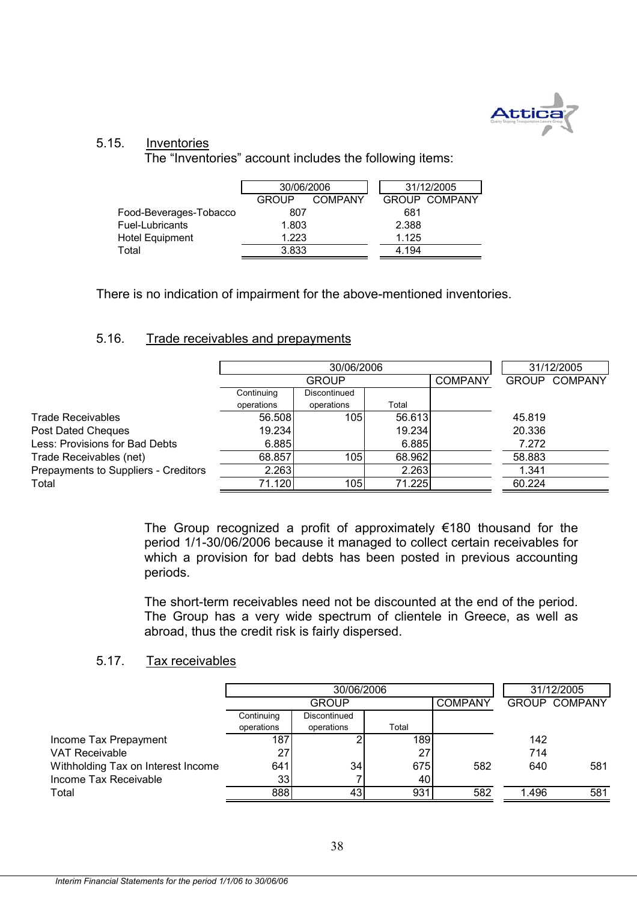

#### 5.15. Inventories

The "Inventories" account includes the following items:

|                        | 30/06/2006                     |  |       | 31/12/2005           |
|------------------------|--------------------------------|--|-------|----------------------|
|                        | <b>COMPANY</b><br><b>GROUP</b> |  |       | <b>GROUP COMPANY</b> |
| Food-Beverages-Tobacco | 807                            |  | 681   |                      |
| Fuel-Lubricants        | 1.803                          |  | 2.388 |                      |
| Hotel Equipment        | 1.223                          |  | 1.125 |                      |
| Total                  | 3.833                          |  | 4.194 |                      |

There is no indication of impairment for the above-mentioned inventories.

### 5.16. Trade receivables and prepayments

|                                      |            |                  | 31/12/2005 |                |              |                |
|--------------------------------------|------------|------------------|------------|----------------|--------------|----------------|
|                                      |            | <b>GROUP</b>     |            | <b>COMPANY</b> | <b>GROUP</b> | <b>COMPANY</b> |
|                                      | Continuing | Discontinued     |            |                |              |                |
|                                      | operations | operations       | Total      |                |              |                |
| Trade Receivables                    | 56.508     | 105 <sup>1</sup> | 56.613     |                | 45.819       |                |
| Post Dated Cheques                   | 19.234     |                  | 19.234     |                | 20.336       |                |
| Less: Provisions for Bad Debts       | 6.885      |                  | 6.885      |                | 7.272        |                |
| Trade Receivables (net)              | 68.857     | 105              | 68.962     |                | 58.883       |                |
| Prepayments to Suppliers - Creditors | 2.263      |                  | 2.263      |                | 1.341        |                |
| Total                                | 71.120     | 105              | 71.225     |                | 60.224       |                |

The Group recognized a profit of approximately  $€180$  thousand for the period 1/1-30/06/2006 because it managed to collect certain receivables for which a provision for bad debts has been posted in previous accounting periods.

The short-term receivables need not be discounted at the end of the period. The Group has a very wide spectrum of clientele in Greece, as well as abroad, thus the credit risk is fairly dispersed.

#### 5.17. Tax receivables

|                                    |            | 30/06/2006   |       | 31/12/2005     |       |                      |
|------------------------------------|------------|--------------|-------|----------------|-------|----------------------|
|                                    |            | <b>GROUP</b> |       | <b>COMPANY</b> |       | <b>GROUP COMPANY</b> |
|                                    | Continuing | Discontinued |       |                |       |                      |
|                                    | operations | operations   | Total |                |       |                      |
| Income Tax Prepayment              | 187        |              | 189   |                | 142   |                      |
| <b>VAT Receivable</b>              | 27         |              | 27    |                | 714   |                      |
| Withholding Tax on Interest Income | 641        | 34           | 675   | 582            | 640   | 581                  |
| Income Tax Receivable              | 33         |              | 40    |                |       |                      |
| Total                              | 888        | 43           | 931   | 582            | 1.496 | 581                  |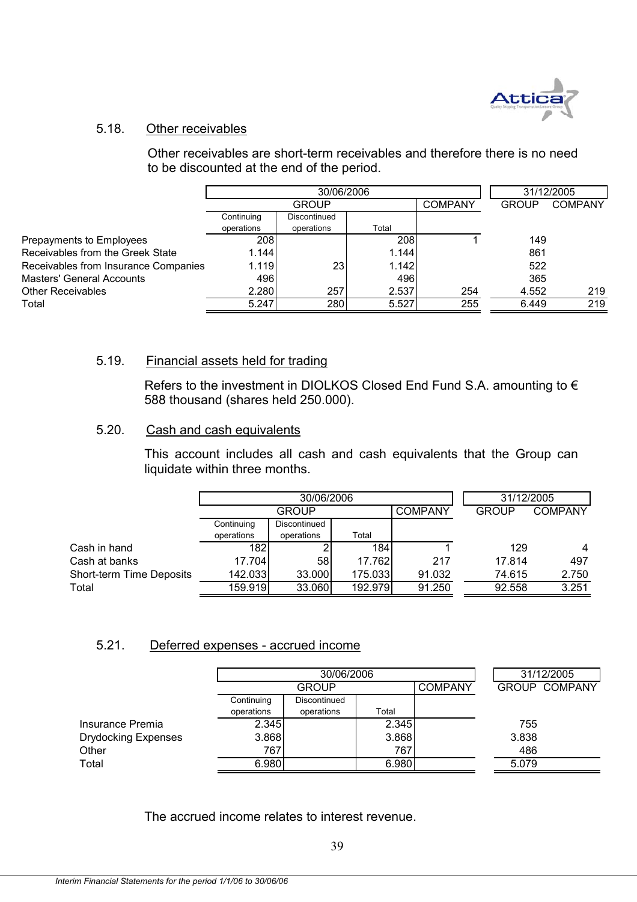

### 5.18. Other receivables

Other receivables are short-term receivables and therefore there is no need to be discounted at the end of the period.

|                                      |            | 30/06/2006   |       | 31/12/2005     |              |                |
|--------------------------------------|------------|--------------|-------|----------------|--------------|----------------|
|                                      |            | <b>GROUP</b> |       | <b>COMPANY</b> | <b>GROUP</b> | <b>COMPANY</b> |
|                                      | Continuing | Discontinued |       |                |              |                |
|                                      | operations | operations   | Total |                |              |                |
| Prepayments to Employees             | 208        |              | 208   |                | 149          |                |
| Receivables from the Greek State     | 1.144      |              | 1.144 |                | 861          |                |
| Receivables from Insurance Companies | 1.119      | 23           | 1.142 |                | 522          |                |
| <b>Masters' General Accounts</b>     | 496        |              | 496   |                | 365          |                |
| <b>Other Receivables</b>             | 2.280      | 257          | 2.537 | 254            | 4.552        | 219            |
| Total                                | 5.247      | 280          | 5.527 | 255            | 6.449        | 219            |

#### 5.19. Financial assets held for trading

Refers to the investment in DIOLKOS Closed End Fund S.A. amounting to € 588 thousand (shares held 250.000).

#### 5.20. Cash and cash equivalents

This account includes all cash and cash equivalents that the Group can liquidate within three months.

|                          |                  | 30/06/2006   | 31/12/2005 |                |              |                |
|--------------------------|------------------|--------------|------------|----------------|--------------|----------------|
|                          | <b>GROUP</b>     |              |            | <b>COMPANY</b> | <b>GROUP</b> | <b>COMPANY</b> |
|                          | Continuing       | Discontinued |            |                |              |                |
|                          | operations       | operations   | Total      |                |              |                |
| Cash in hand             | 182 <sub>1</sub> |              | 184        |                | 129          | $\overline{4}$ |
| Cash at banks            | 17.704           | 58           | 17.762     | 217            | 17.814       | 497            |
| Short-term Time Deposits | 142.033          | 33.000       | 175.033    | 91.032         | 74.615       | 2.750          |
| Total                    | 159.919          | 33.060       | 192.979    | 91.250         | 92.558       | 3.251          |

#### 5.21. Deferred expenses - accrued income

|                            |            | 30/06/2006   |       |                | 31/12/2005           |  |
|----------------------------|------------|--------------|-------|----------------|----------------------|--|
|                            |            | GROUP        |       | <b>COMPANY</b> | <b>GROUP COMPANY</b> |  |
|                            | Continuing | Discontinued |       |                |                      |  |
|                            | operations | operations   | Total |                |                      |  |
| Insurance Premia           | 2.345      |              | 2.345 |                | 755                  |  |
| <b>Drydocking Expenses</b> | 3.868      |              | 3.868 |                | 3.838                |  |
| Other                      | 767        |              | 767   |                | 486                  |  |
| Total                      | 6.980      |              | 6.980 |                | 5.079                |  |
|                            |            |              |       |                |                      |  |

The accrued income relates to interest revenue.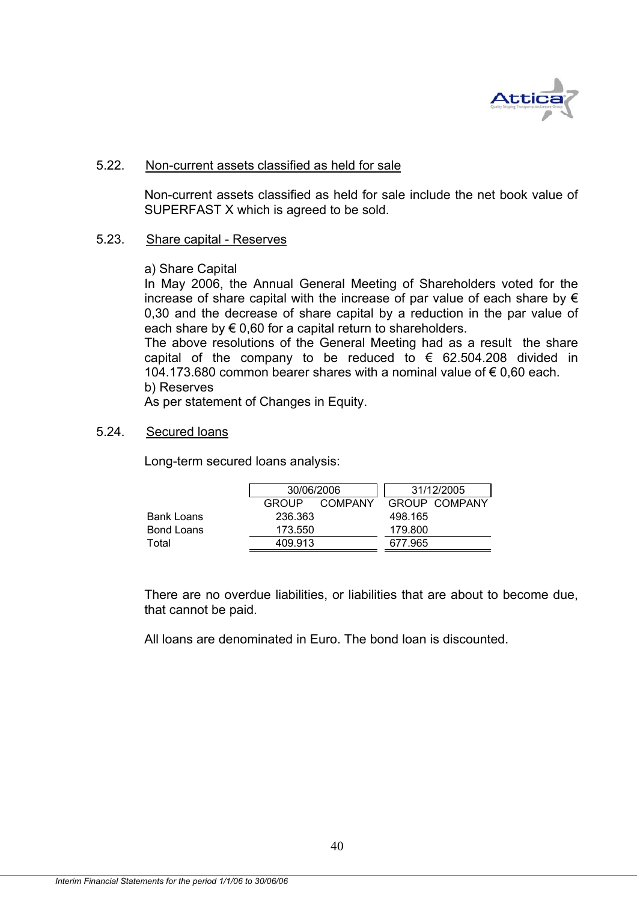

#### 5.22. Non-current assets classified as held for sale

Non-current assets classified as held for sale include the net book value of SUPERFAST X which is agreed to be sold.

#### 5.23. Share capital - Reserves

#### a) Share Capital

In May 2006, the Annual General Meeting of Shareholders voted for the increase of share capital with the increase of par value of each share by  $\epsilon$ 0,30 and the decrease of share capital by a reduction in the par value of each share by  $\epsilon$  0,60 for a capital return to shareholders.

The above resolutions of the General Meeting had as a result the share capital of the company to be reduced to  $\epsilon$  62.504.208 divided in 104.173.680 common bearer shares with a nominal value of € 0,60 each. b) Reserves

As per statement of Changes in Equity.

#### 5.24. Secured loans

Long-term secured loans analysis:

|            |              | 30/06/2006 |         | 31/12/2005    |
|------------|--------------|------------|---------|---------------|
|            | <b>GROUP</b> | COMPANY    |         | GROUP COMPANY |
| Bank Loans | 236.363      |            | 498.165 |               |
| Bond Loans |              | 173.550    |         |               |
| Total      | 409.913      |            | 677.965 |               |

There are no overdue liabilities, or liabilities that are about to become due, that cannot be paid.

All loans are denominated in Euro. The bond loan is discounted.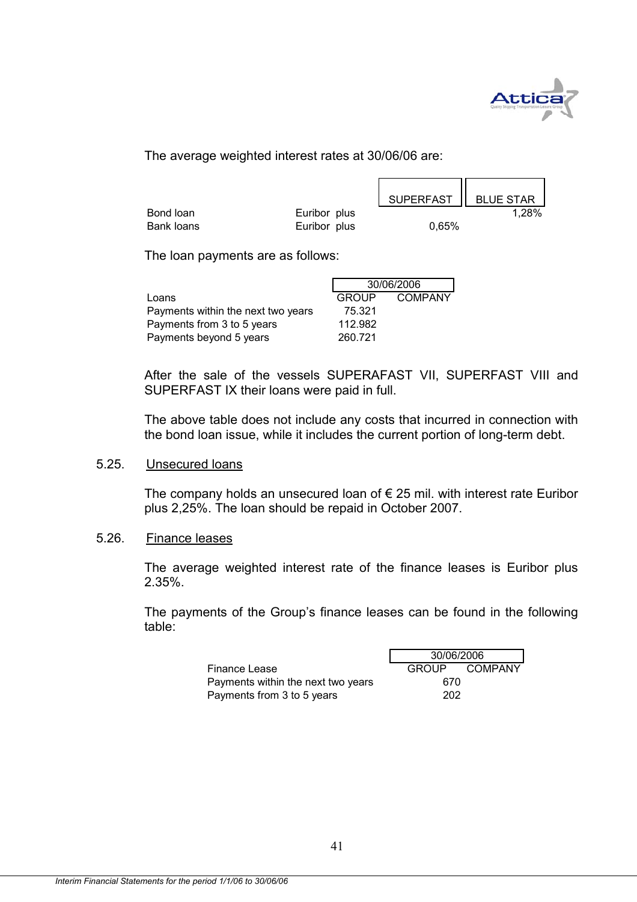

n m

The average weighted interest rates at 30/06/06 are:

|            |              |          | SUPERFAST   BLUE STAR |
|------------|--------------|----------|-----------------------|
| Bond loan  | Euribor plus |          | 1,28%                 |
| Bank loans | Euribor plus | $0.65\%$ |                       |

The loan payments are as follows:

|                                    | 30/06/2006   |         |  |
|------------------------------------|--------------|---------|--|
| Loans                              | <b>GROUP</b> | COMPANY |  |
| Payments within the next two years | 75.321       |         |  |
| Payments from 3 to 5 years         | 112.982      |         |  |
| Payments beyond 5 years            | 260.721      |         |  |

After the sale of the vessels SUPERAFAST VII, SUPERFAST VIII and SUPERFAST IX their loans were paid in full.

The above table does not include any costs that incurred in connection with the bond loan issue, while it includes the current portion of long-term debt.

#### 5.25. Unsecured loans

The company holds an unsecured loan of  $\epsilon$  25 mil. with interest rate Euribor plus 2,25%. The loan should be repaid in October 2007.

#### 5.26. Finance leases

The average weighted interest rate of the finance leases is Euribor plus 2.35%.

The payments of the Group's finance leases can be found in the following table:

|                                    | 30/06/2006 |               |  |
|------------------------------------|------------|---------------|--|
| Finance Lease                      |            | GROUP COMPANY |  |
| Payments within the next two years | 670        |               |  |
| Payments from 3 to 5 years         | 202        |               |  |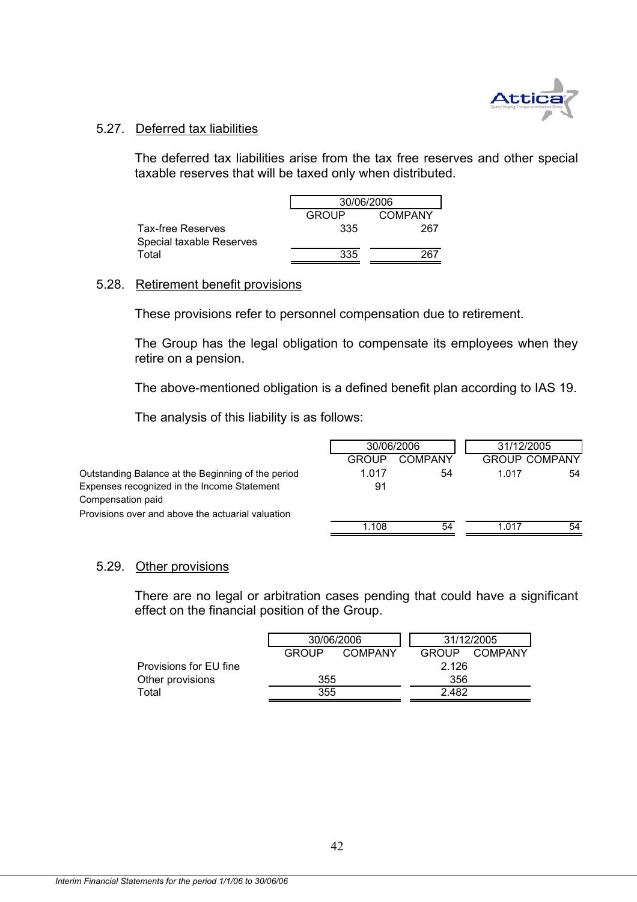

#### 5.27. Deferred tax liabilities

The deferred tax liabilities arise from the tax free reserves and other special taxable reserves that will be taxed only when distributed.

|                          | 30/06/2006                     |     |  |  |  |
|--------------------------|--------------------------------|-----|--|--|--|
|                          | <b>GROUP</b><br><b>COMPANY</b> |     |  |  |  |
| Tax-free Reserves        | 335                            | 267 |  |  |  |
| Special taxable Reserves |                                |     |  |  |  |
| Total                    | 335                            | 267 |  |  |  |

#### 5.28. Retirement benefit provisions

These provisions refer to personnel compensation due to retirement.

The Group has the legal obligation to compensate its employees when they retire on a pension.

The above-mentioned obligation is a defined benefit plan according to IAS 19.

The analysis of this liability is as follows:

|                                                    | 30/06/2006 |         | 31/12/2005 |                      |
|----------------------------------------------------|------------|---------|------------|----------------------|
|                                                    | GROUP      | COMPANY |            | <b>GROUP COMPANY</b> |
| Outstanding Balance at the Beginning of the period | 1.017      | 54      | 1.017      | 54                   |
| Expenses recognized in the Income Statement        | 91         |         |            |                      |
| Compensation paid                                  |            |         |            |                      |
| Provisions over and above the actuarial valuation  |            |         |            |                      |
|                                                    | 1.108      | 54      | 1.017      | 54                   |
|                                                    |            |         |            |                      |

#### 5.29. Other provisions

There are no legal or arbitration cases pending that could have a significant effect on the financial position of the Group.

| COMPANY<br>GROUP<br>COMPANY<br><b>GROUP</b> |  |       |  |
|---------------------------------------------|--|-------|--|
|                                             |  | 2.126 |  |
| 355                                         |  | 356   |  |
|                                             |  | 2.482 |  |
|                                             |  | 355   |  |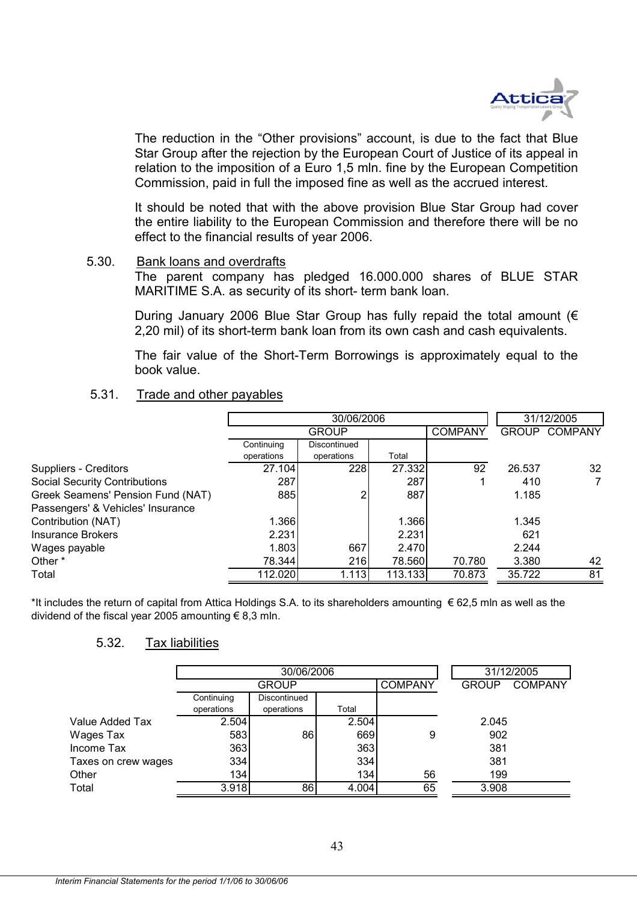

The reduction in the "Other provisions" account, is due to the fact that Blue Star Group after the rejection by the European Court of Justice of its appeal in relation to the imposition of a Euro 1,5 mln. fine by the European Competition Commission, paid in full the imposed fine as well as the accrued interest.

It should be noted that with the above provision Blue Star Group had cover the entire liability to the European Commission and therefore there will be no effect to the financial results of year 2006.

#### 5.30. Bank loans and overdrafts

The parent company has pledged 16.000.000 shares of BLUE STAR MARITIME S.A. as security of its short- term bank loan.

During January 2006 Blue Star Group has fully repaid the total amount (€ 2,20 mil) of its short-term bank loan from its own cash and cash equivalents.

The fair value of the Short-Term Borrowings is approximately equal to the book value.

#### 5.31. Trade and other payables

|            | 30/06/2006    |                                     |        |                                                                 | 31/12/2005     |
|------------|---------------|-------------------------------------|--------|-----------------------------------------------------------------|----------------|
|            | <b>GROUP</b>  |                                     |        | <b>GROUP</b>                                                    | <b>COMPANY</b> |
| Continuing | Discontinued  |                                     |        |                                                                 |                |
| operations | operations    | Total                               |        |                                                                 |                |
|            | 228           |                                     | 92     | 26.537                                                          | 32             |
| 287        |               | 287                                 |        | 410                                                             | 7              |
|            |               | 887                                 |        | 1.185                                                           |                |
|            |               |                                     |        |                                                                 |                |
|            |               |                                     |        | 1.345                                                           |                |
| 2.231      |               | 2.231                               |        | 621                                                             |                |
|            | 667           |                                     |        | 2.244                                                           |                |
|            | 216           |                                     | 70.780 | 3.380                                                           | 42             |
|            | 1.113         |                                     | 70.873 | 35.722                                                          | 81             |
|            | 27.104<br>885 | 1.366<br>1.803<br>78.344<br>112.020 |        | <b>COMPANY</b><br>27.332<br>1.366<br>2.470<br>78.560<br>113.133 |                |

\*It includes the return of capital from Attica Holdings S.A. to its shareholders amounting € 62,5 mln as well as the dividend of the fiscal year 2005 amounting  $\epsilon$  8,3 mln.

#### 5.32. Tax liabilities

|                     |              | 30/06/2006   | 31/12/2005 |                |              |                |
|---------------------|--------------|--------------|------------|----------------|--------------|----------------|
|                     | <b>GROUP</b> |              |            | <b>COMPANY</b> | <b>GROUP</b> | <b>COMPANY</b> |
|                     | Continuing   | Discontinued |            |                |              |                |
|                     | operations   | operations   | Total      |                |              |                |
| Value Added Tax     | 2.504        |              | 2.504      |                | 2.045        |                |
| Wages Tax           | 583          | 86           | 669        | 9              | 902          |                |
| Income Tax          | 363          |              | 363        |                | 381          |                |
| Taxes on crew wages | 334          |              | 334        |                | 381          |                |
| Other               | 134          |              | 134        | 56             | 199          |                |
| Total               | 3.918        | 86           | 4.004      | 65             | 3.908        |                |